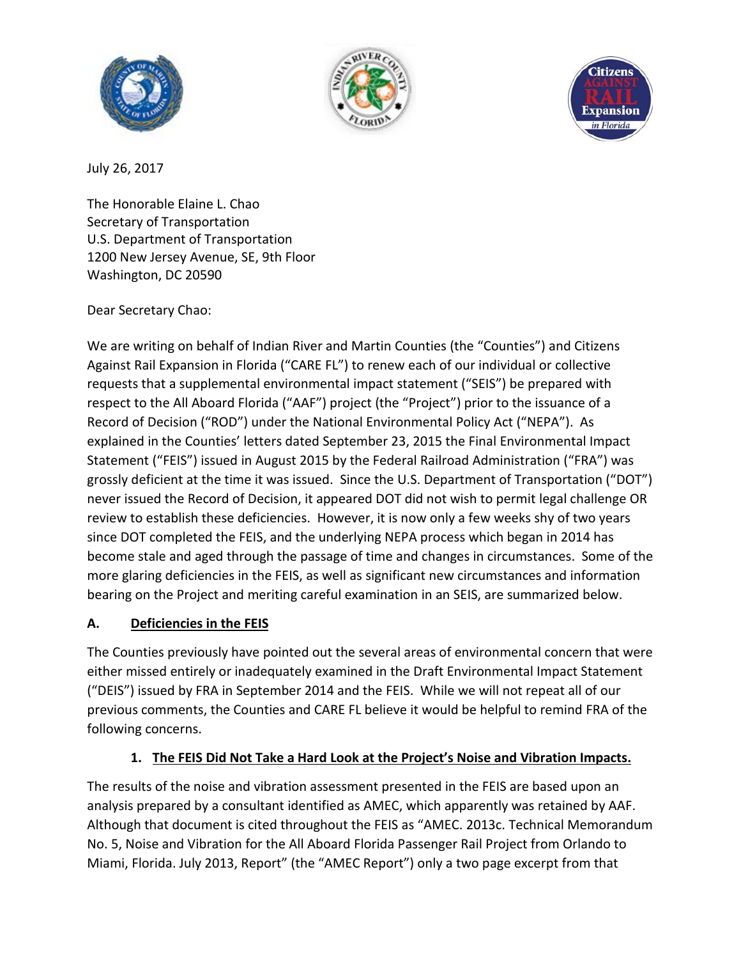





July 26, 2017

The Honorable Elaine L. Chao Secretary of Transportation U.S. Department of Transportation 1200 New Jersey Avenue, SE, 9th Floor Washington, DC 20590

### Dear Secretary Chao:

We are writing on behalf of Indian River and Martin Counties (the "Counties") and Citizens Against Rail Expansion in Florida ("CARE FL") to renew each of our individual or collective requests that a supplemental environmental impact statement ("SEIS") be prepared with respect to the All Aboard Florida ("AAF") project (the "Project") prior to the issuance of a Record of Decision ("ROD") under the National Environmental Policy Act ("NEPA"). As explained in the Counties' letters dated September 23, 2015 the Final Environmental Impact Statement ("FEIS") issued in August 2015 by the Federal Railroad Administration ("FRA") was grossly deficient at the time it was issued. Since the U.S. Department of Transportation ("DOT") never issued the Record of Decision, it appeared DOT did not wish to permit legal challenge OR review to establish these deficiencies. However, it is now only a few weeks shy of two years since DOT completed the FEIS, and the underlying NEPA process which began in 2014 has become stale and aged through the passage of time and changes in circumstances. Some of the more glaring deficiencies in the FEIS, as well as significant new circumstances and information bearing on the Project and meriting careful examination in an SEIS, are summarized below.

### **A. Deficiencies in the FEIS**

The Counties previously have pointed out the several areas of environmental concern that were either missed entirely or inadequately examined in the Draft Environmental Impact Statement ("DEIS") issued by FRA in September 2014 and the FEIS. While we will not repeat all of our previous comments, the Counties and CARE FL believe it would be helpful to remind FRA of the following concerns.

### **1. The FEIS Did Not Take a Hard Look at the Project's Noise and Vibration Impacts.**

The results of the noise and vibration assessment presented in the FEIS are based upon an analysis prepared by a consultant identified as AMEC, which apparently was retained by AAF. Although that document is cited throughout the FEIS as "AMEC. 2013c. Technical Memorandum No. 5, Noise and Vibration for the All Aboard Florida Passenger Rail Project from Orlando to Miami, Florida. July 2013, Report" (the "AMEC Report") only a two page excerpt from that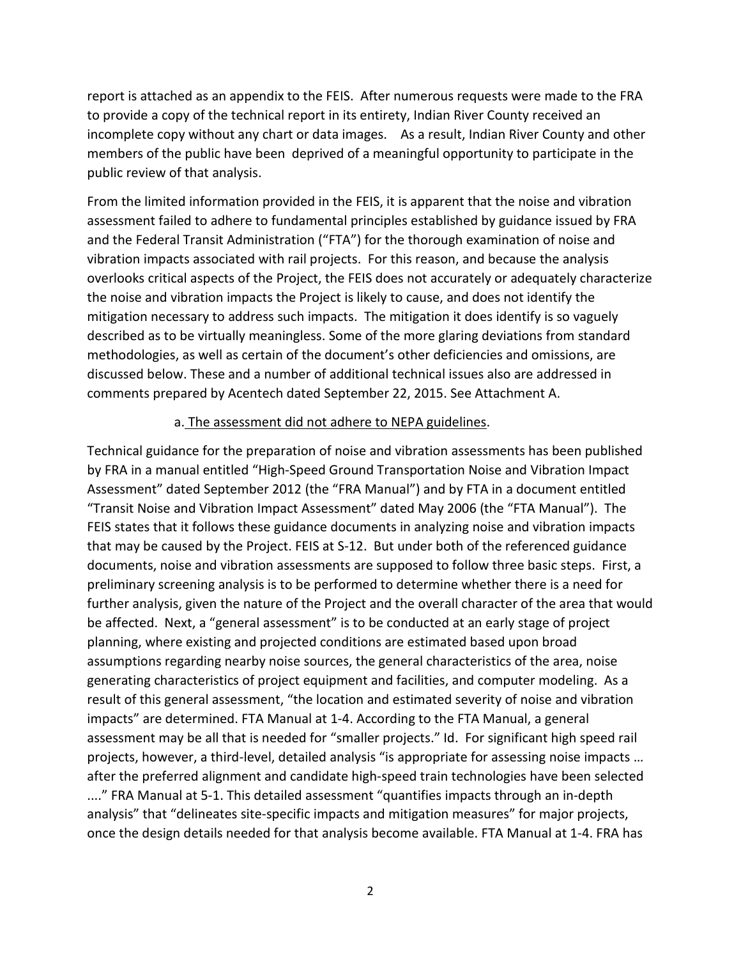report is attached as an appendix to the FEIS. After numerous requests were made to the FRA to provide a copy of the technical report in its entirety, Indian River County received an incomplete copy without any chart or data images. As a result, Indian River County and other members of the public have been deprived of a meaningful opportunity to participate in the public review of that analysis.

From the limited information provided in the FEIS, it is apparent that the noise and vibration assessment failed to adhere to fundamental principles established by guidance issued by FRA and the Federal Transit Administration ("FTA") for the thorough examination of noise and vibration impacts associated with rail projects. For this reason, and because the analysis overlooks critical aspects of the Project, the FEIS does not accurately or adequately characterize the noise and vibration impacts the Project is likely to cause, and does not identify the mitigation necessary to address such impacts. The mitigation it does identify is so vaguely described as to be virtually meaningless. Some of the more glaring deviations from standard methodologies, as well as certain of the document's other deficiencies and omissions, are discussed below. These and a number of additional technical issues also are addressed in comments prepared by Acentech dated September 22, 2015. See Attachment A.

#### a. The assessment did not adhere to NEPA guidelines.

Technical guidance for the preparation of noise and vibration assessments has been published by FRA in a manual entitled "High-Speed Ground Transportation Noise and Vibration Impact Assessment" dated September 2012 (the "FRA Manual") and by FTA in a document entitled "Transit Noise and Vibration Impact Assessment" dated May 2006 (the "FTA Manual"). The FEIS states that it follows these guidance documents in analyzing noise and vibration impacts that may be caused by the Project. FEIS at S-12. But under both of the referenced guidance documents, noise and vibration assessments are supposed to follow three basic steps. First, a preliminary screening analysis is to be performed to determine whether there is a need for further analysis, given the nature of the Project and the overall character of the area that would be affected. Next, a "general assessment" is to be conducted at an early stage of project planning, where existing and projected conditions are estimated based upon broad assumptions regarding nearby noise sources, the general characteristics of the area, noise generating characteristics of project equipment and facilities, and computer modeling. As a result of this general assessment, "the location and estimated severity of noise and vibration impacts" are determined. FTA Manual at 1-4. According to the FTA Manual, a general assessment may be all that is needed for "smaller projects." Id. For significant high speed rail projects, however, a third-level, detailed analysis "is appropriate for assessing noise impacts … after the preferred alignment and candidate high-speed train technologies have been selected ...." FRA Manual at 5-1. This detailed assessment "quantifies impacts through an in-depth analysis" that "delineates site-specific impacts and mitigation measures" for major projects, once the design details needed for that analysis become available. FTA Manual at 1-4. FRA has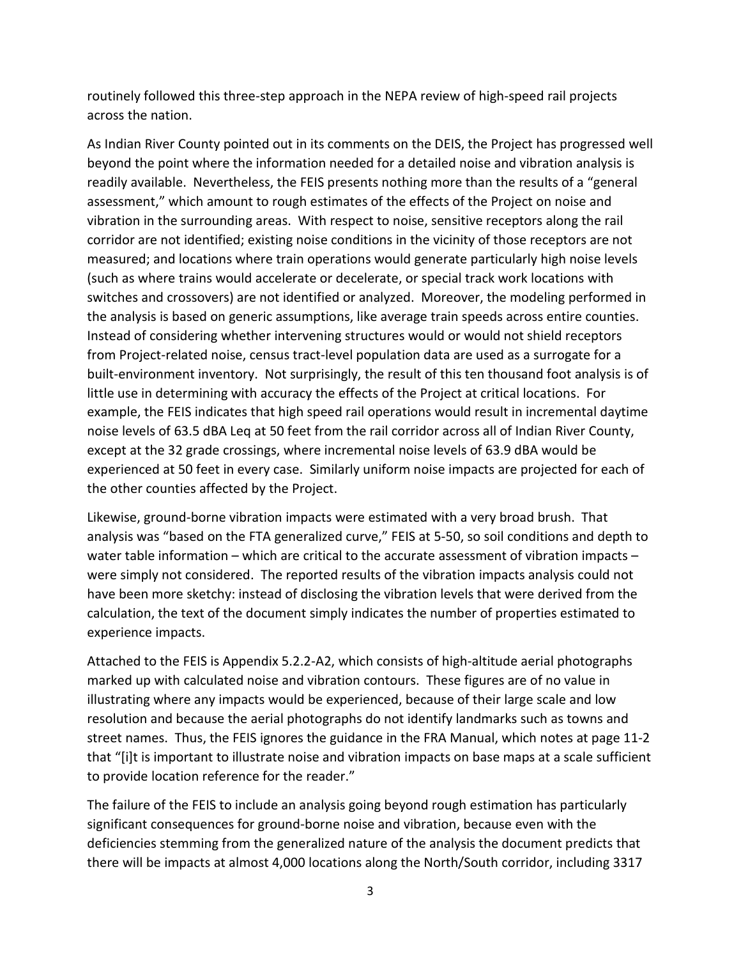routinely followed this three-step approach in the NEPA review of high-speed rail projects across the nation.

As Indian River County pointed out in its comments on the DEIS, the Project has progressed well beyond the point where the information needed for a detailed noise and vibration analysis is readily available. Nevertheless, the FEIS presents nothing more than the results of a "general assessment," which amount to rough estimates of the effects of the Project on noise and vibration in the surrounding areas. With respect to noise, sensitive receptors along the rail corridor are not identified; existing noise conditions in the vicinity of those receptors are not measured; and locations where train operations would generate particularly high noise levels (such as where trains would accelerate or decelerate, or special track work locations with switches and crossovers) are not identified or analyzed. Moreover, the modeling performed in the analysis is based on generic assumptions, like average train speeds across entire counties. Instead of considering whether intervening structures would or would not shield receptors from Project-related noise, census tract-level population data are used as a surrogate for a built-environment inventory. Not surprisingly, the result of this ten thousand foot analysis is of little use in determining with accuracy the effects of the Project at critical locations. For example, the FEIS indicates that high speed rail operations would result in incremental daytime noise levels of 63.5 dBA Leq at 50 feet from the rail corridor across all of Indian River County, except at the 32 grade crossings, where incremental noise levels of 63.9 dBA would be experienced at 50 feet in every case. Similarly uniform noise impacts are projected for each of the other counties affected by the Project.

Likewise, ground-borne vibration impacts were estimated with a very broad brush. That analysis was "based on the FTA generalized curve," FEIS at 5-50, so soil conditions and depth to water table information – which are critical to the accurate assessment of vibration impacts – were simply not considered. The reported results of the vibration impacts analysis could not have been more sketchy: instead of disclosing the vibration levels that were derived from the calculation, the text of the document simply indicates the number of properties estimated to experience impacts.

Attached to the FEIS is Appendix 5.2.2-A2, which consists of high-altitude aerial photographs marked up with calculated noise and vibration contours. These figures are of no value in illustrating where any impacts would be experienced, because of their large scale and low resolution and because the aerial photographs do not identify landmarks such as towns and street names. Thus, the FEIS ignores the guidance in the FRA Manual, which notes at page 11-2 that "[i]t is important to illustrate noise and vibration impacts on base maps at a scale sufficient to provide location reference for the reader."

The failure of the FEIS to include an analysis going beyond rough estimation has particularly significant consequences for ground-borne noise and vibration, because even with the deficiencies stemming from the generalized nature of the analysis the document predicts that there will be impacts at almost 4,000 locations along the North/South corridor, including 3317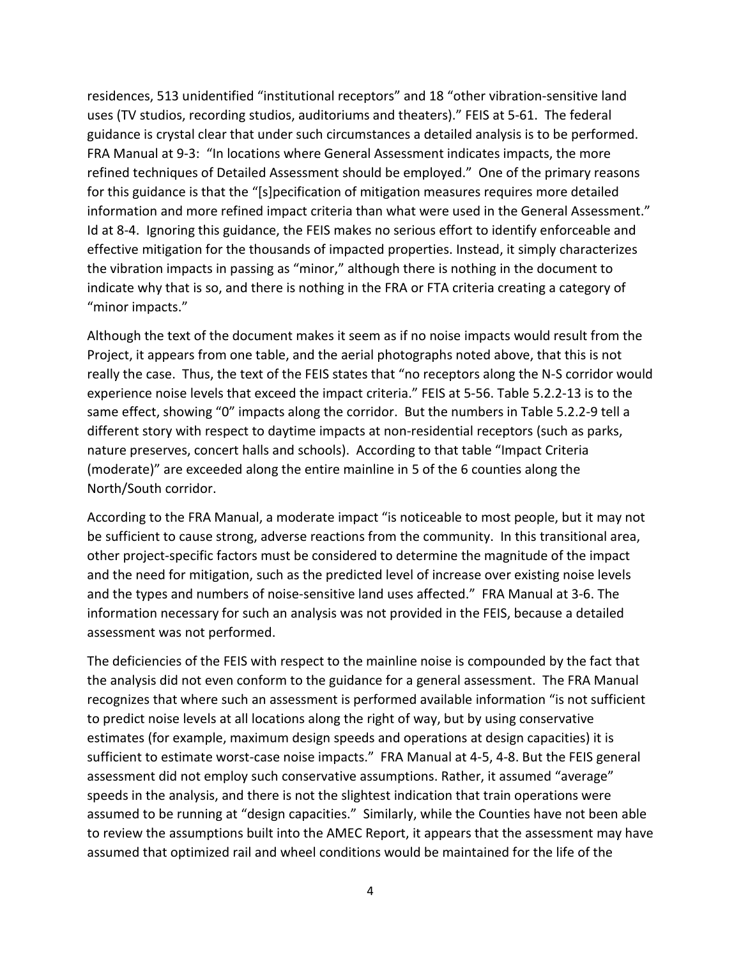residences, 513 unidentified "institutional receptors" and 18 "other vibration-sensitive land uses (TV studios, recording studios, auditoriums and theaters)." FEIS at 5-61. The federal guidance is crystal clear that under such circumstances a detailed analysis is to be performed. FRA Manual at 9-3: "In locations where General Assessment indicates impacts, the more refined techniques of Detailed Assessment should be employed." One of the primary reasons for this guidance is that the "[s]pecification of mitigation measures requires more detailed information and more refined impact criteria than what were used in the General Assessment." Id at 8-4. Ignoring this guidance, the FEIS makes no serious effort to identify enforceable and effective mitigation for the thousands of impacted properties. Instead, it simply characterizes the vibration impacts in passing as "minor," although there is nothing in the document to indicate why that is so, and there is nothing in the FRA or FTA criteria creating a category of "minor impacts."

Although the text of the document makes it seem as if no noise impacts would result from the Project, it appears from one table, and the aerial photographs noted above, that this is not really the case. Thus, the text of the FEIS states that "no receptors along the N-S corridor would experience noise levels that exceed the impact criteria." FEIS at 5-56. Table 5.2.2-13 is to the same effect, showing "0" impacts along the corridor. But the numbers in Table 5.2.2-9 tell a different story with respect to daytime impacts at non-residential receptors (such as parks, nature preserves, concert halls and schools). According to that table "Impact Criteria (moderate)" are exceeded along the entire mainline in 5 of the 6 counties along the North/South corridor.

According to the FRA Manual, a moderate impact "is noticeable to most people, but it may not be sufficient to cause strong, adverse reactions from the community. In this transitional area, other project-specific factors must be considered to determine the magnitude of the impact and the need for mitigation, such as the predicted level of increase over existing noise levels and the types and numbers of noise-sensitive land uses affected." FRA Manual at 3-6. The information necessary for such an analysis was not provided in the FEIS, because a detailed assessment was not performed.

The deficiencies of the FEIS with respect to the mainline noise is compounded by the fact that the analysis did not even conform to the guidance for a general assessment. The FRA Manual recognizes that where such an assessment is performed available information "is not sufficient to predict noise levels at all locations along the right of way, but by using conservative estimates (for example, maximum design speeds and operations at design capacities) it is sufficient to estimate worst-case noise impacts." FRA Manual at 4-5, 4-8. But the FEIS general assessment did not employ such conservative assumptions. Rather, it assumed "average" speeds in the analysis, and there is not the slightest indication that train operations were assumed to be running at "design capacities." Similarly, while the Counties have not been able to review the assumptions built into the AMEC Report, it appears that the assessment may have assumed that optimized rail and wheel conditions would be maintained for the life of the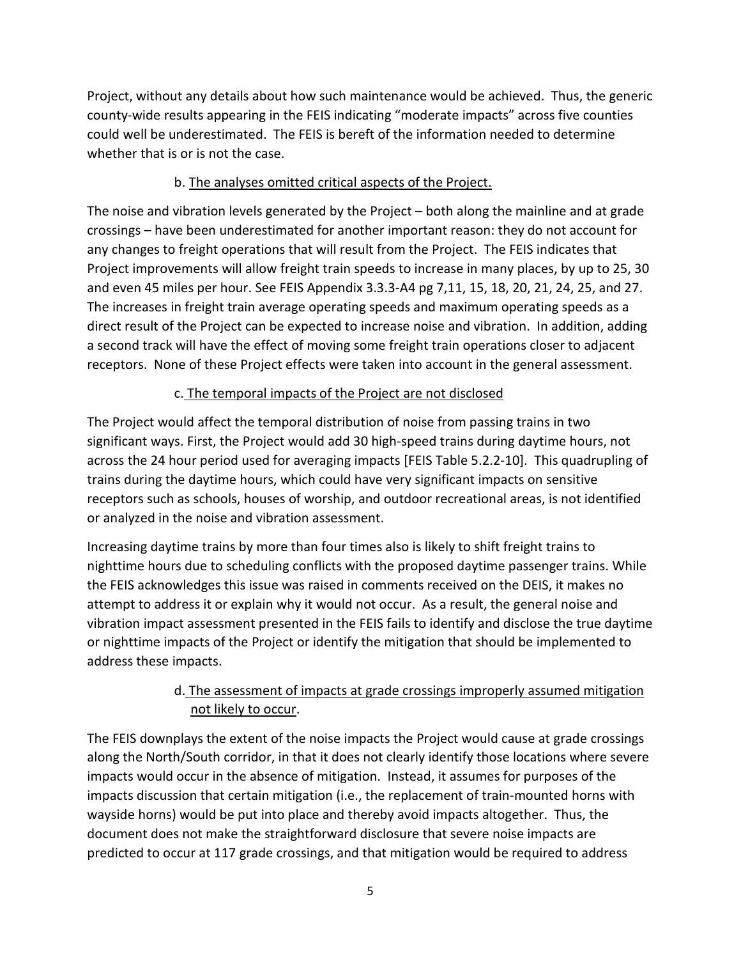Project, without any details about how such maintenance would be achieved. Thus, the generic county-wide results appearing in the FEIS indicating "moderate impacts" across five counties could well be underestimated. The FEIS is bereft of the information needed to determine whether that is or is not the case.

### b. The analyses omitted critical aspects of the Project.

The noise and vibration levels generated by the Project – both along the mainline and at grade crossings – have been underestimated for another important reason: they do not account for any changes to freight operations that will result from the Project. The FEIS indicates that Project improvements will allow freight train speeds to increase in many places, by up to 25, 30 and even 45 miles per hour. See FEIS Appendix 3.3.3-A4 pg 7,11, 15, 18, 20, 21, 24, 25, and 27. The increases in freight train average operating speeds and maximum operating speeds as a direct result of the Project can be expected to increase noise and vibration. In addition, adding a second track will have the effect of moving some freight train operations closer to adjacent receptors. None of these Project effects were taken into account in the general assessment.

### c. The temporal impacts of the Project are not disclosed

The Project would affect the temporal distribution of noise from passing trains in two significant ways. First, the Project would add 30 high-speed trains during daytime hours, not across the 24 hour period used for averaging impacts [FEIS Table 5.2.2-10]. This quadrupling of trains during the daytime hours, which could have very significant impacts on sensitive receptors such as schools, houses of worship, and outdoor recreational areas, is not identified or analyzed in the noise and vibration assessment.

Increasing daytime trains by more than four times also is likely to shift freight trains to nighttime hours due to scheduling conflicts with the proposed daytime passenger trains. While the FEIS acknowledges this issue was raised in comments received on the DEIS, it makes no attempt to address it or explain why it would not occur. As a result, the general noise and vibration impact assessment presented in the FEIS fails to identify and disclose the true daytime or nighttime impacts of the Project or identify the mitigation that should be implemented to address these impacts.

## d. The assessment of impacts at grade crossings improperly assumed mitigation not likely to occur.

The FEIS downplays the extent of the noise impacts the Project would cause at grade crossings along the North/South corridor, in that it does not clearly identify those locations where severe impacts would occur in the absence of mitigation. Instead, it assumes for purposes of the impacts discussion that certain mitigation (i.e., the replacement of train-mounted horns with wayside horns) would be put into place and thereby avoid impacts altogether. Thus, the document does not make the straightforward disclosure that severe noise impacts are predicted to occur at 117 grade crossings, and that mitigation would be required to address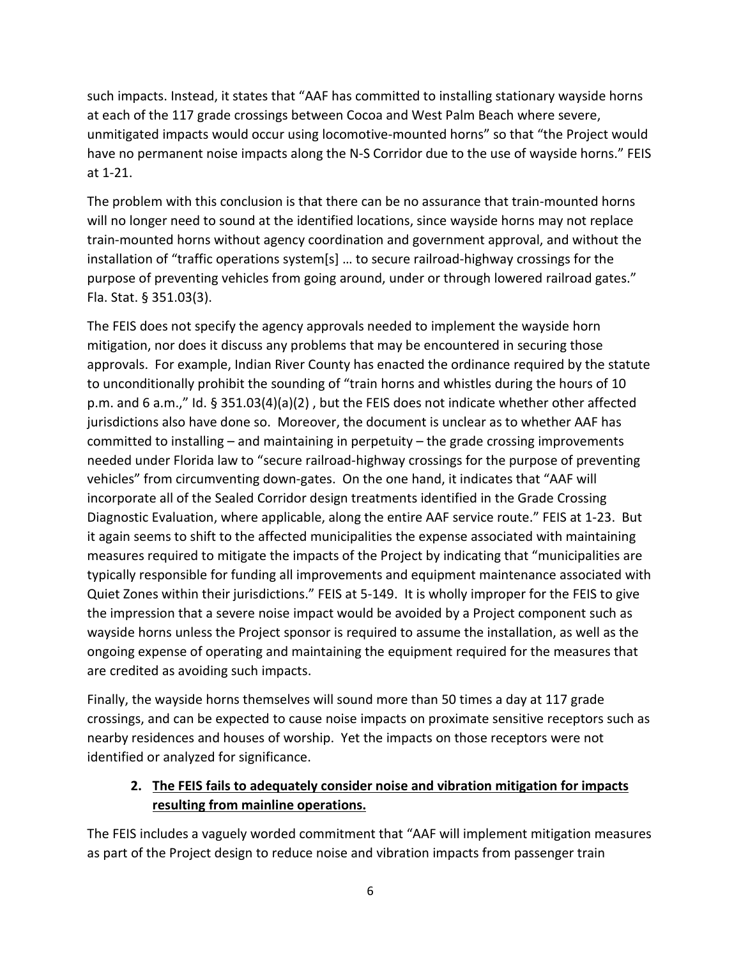such impacts. Instead, it states that "AAF has committed to installing stationary wayside horns at each of the 117 grade crossings between Cocoa and West Palm Beach where severe, unmitigated impacts would occur using locomotive-mounted horns" so that "the Project would have no permanent noise impacts along the N-S Corridor due to the use of wayside horns." FEIS at 1-21.

The problem with this conclusion is that there can be no assurance that train-mounted horns will no longer need to sound at the identified locations, since wayside horns may not replace train-mounted horns without agency coordination and government approval, and without the installation of "traffic operations system[s] … to secure railroad-highway crossings for the purpose of preventing vehicles from going around, under or through lowered railroad gates." Fla. Stat. § 351.03(3).

The FEIS does not specify the agency approvals needed to implement the wayside horn mitigation, nor does it discuss any problems that may be encountered in securing those approvals. For example, Indian River County has enacted the ordinance required by the statute to unconditionally prohibit the sounding of "train horns and whistles during the hours of 10 p.m. and 6 a.m.," Id. § 351.03(4)(a)(2) , but the FEIS does not indicate whether other affected jurisdictions also have done so. Moreover, the document is unclear as to whether AAF has committed to installing – and maintaining in perpetuity – the grade crossing improvements needed under Florida law to "secure railroad-highway crossings for the purpose of preventing vehicles" from circumventing down-gates. On the one hand, it indicates that "AAF will incorporate all of the Sealed Corridor design treatments identified in the Grade Crossing Diagnostic Evaluation, where applicable, along the entire AAF service route." FEIS at 1-23. But it again seems to shift to the affected municipalities the expense associated with maintaining measures required to mitigate the impacts of the Project by indicating that "municipalities are typically responsible for funding all improvements and equipment maintenance associated with Quiet Zones within their jurisdictions." FEIS at 5-149. It is wholly improper for the FEIS to give the impression that a severe noise impact would be avoided by a Project component such as wayside horns unless the Project sponsor is required to assume the installation, as well as the ongoing expense of operating and maintaining the equipment required for the measures that are credited as avoiding such impacts.

Finally, the wayside horns themselves will sound more than 50 times a day at 117 grade crossings, and can be expected to cause noise impacts on proximate sensitive receptors such as nearby residences and houses of worship. Yet the impacts on those receptors were not identified or analyzed for significance.

### **2. The FEIS fails to adequately consider noise and vibration mitigation for impacts resulting from mainline operations.**

The FEIS includes a vaguely worded commitment that "AAF will implement mitigation measures as part of the Project design to reduce noise and vibration impacts from passenger train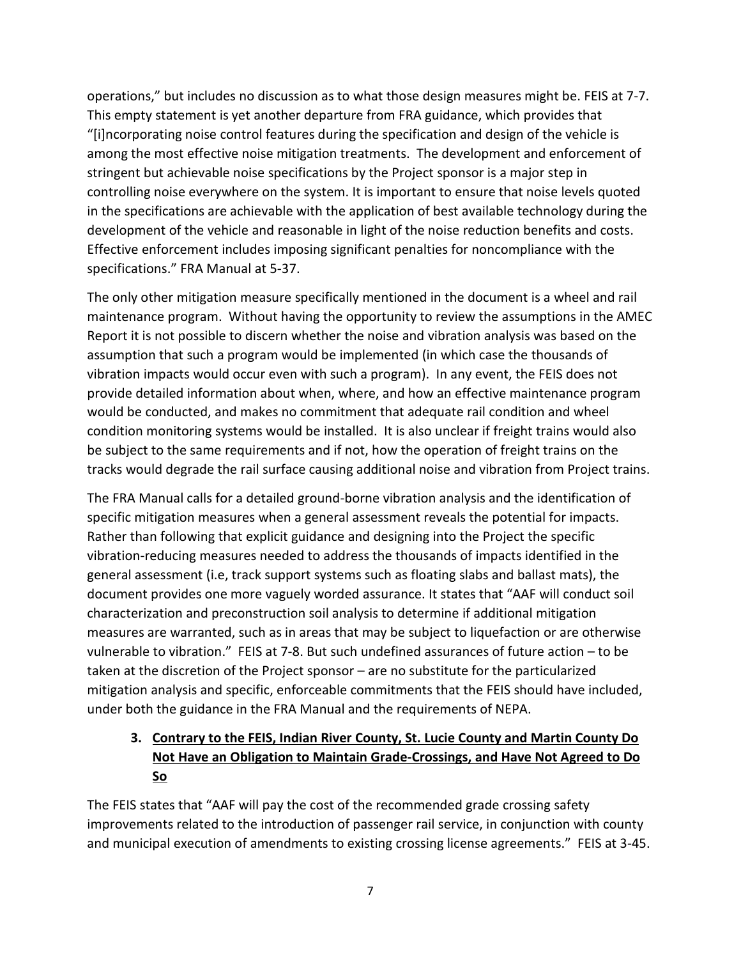operations," but includes no discussion as to what those design measures might be. FEIS at 7-7. This empty statement is yet another departure from FRA guidance, which provides that "[i]ncorporating noise control features during the specification and design of the vehicle is among the most effective noise mitigation treatments. The development and enforcement of stringent but achievable noise specifications by the Project sponsor is a major step in controlling noise everywhere on the system. It is important to ensure that noise levels quoted in the specifications are achievable with the application of best available technology during the development of the vehicle and reasonable in light of the noise reduction benefits and costs. Effective enforcement includes imposing significant penalties for noncompliance with the specifications." FRA Manual at 5-37.

The only other mitigation measure specifically mentioned in the document is a wheel and rail maintenance program. Without having the opportunity to review the assumptions in the AMEC Report it is not possible to discern whether the noise and vibration analysis was based on the assumption that such a program would be implemented (in which case the thousands of vibration impacts would occur even with such a program). In any event, the FEIS does not provide detailed information about when, where, and how an effective maintenance program would be conducted, and makes no commitment that adequate rail condition and wheel condition monitoring systems would be installed. It is also unclear if freight trains would also be subject to the same requirements and if not, how the operation of freight trains on the tracks would degrade the rail surface causing additional noise and vibration from Project trains.

The FRA Manual calls for a detailed ground-borne vibration analysis and the identification of specific mitigation measures when a general assessment reveals the potential for impacts. Rather than following that explicit guidance and designing into the Project the specific vibration-reducing measures needed to address the thousands of impacts identified in the general assessment (i.e, track support systems such as floating slabs and ballast mats), the document provides one more vaguely worded assurance. It states that "AAF will conduct soil characterization and preconstruction soil analysis to determine if additional mitigation measures are warranted, such as in areas that may be subject to liquefaction or are otherwise vulnerable to vibration." FEIS at 7-8. But such undefined assurances of future action – to be taken at the discretion of the Project sponsor – are no substitute for the particularized mitigation analysis and specific, enforceable commitments that the FEIS should have included, under both the guidance in the FRA Manual and the requirements of NEPA.

# **3. Contrary to the FEIS, Indian River County, St. Lucie County and Martin County Do Not Have an Obligation to Maintain Grade-Crossings, and Have Not Agreed to Do So**

The FEIS states that "AAF will pay the cost of the recommended grade crossing safety improvements related to the introduction of passenger rail service, in conjunction with county and municipal execution of amendments to existing crossing license agreements." FEIS at 3-45.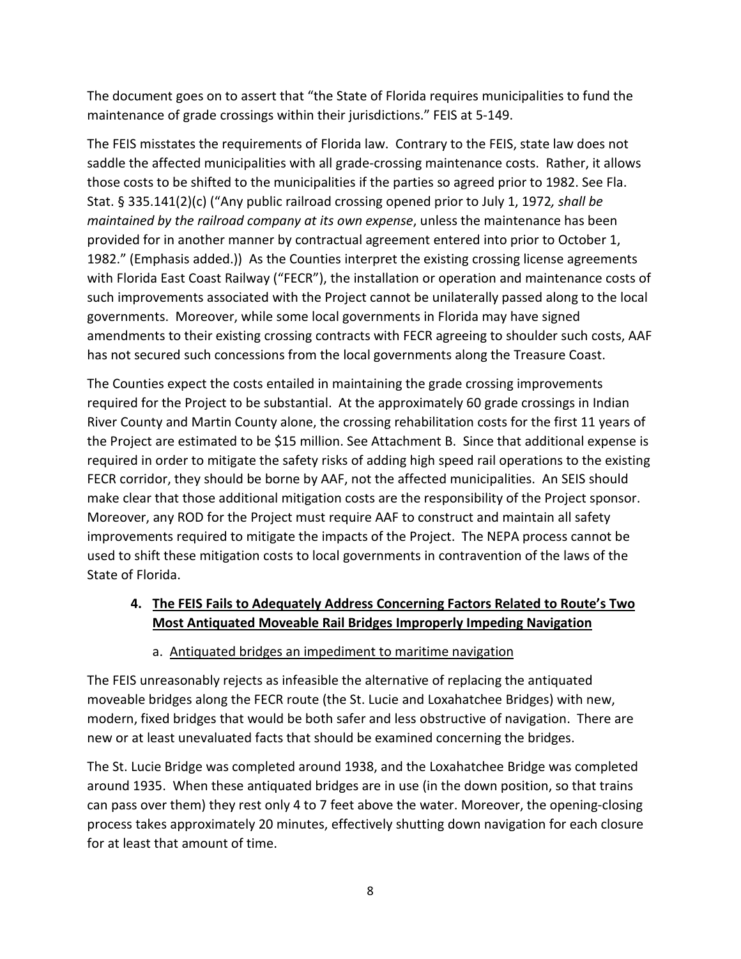The document goes on to assert that "the State of Florida requires municipalities to fund the maintenance of grade crossings within their jurisdictions." FEIS at 5-149.

The FEIS misstates the requirements of Florida law. Contrary to the FEIS, state law does not saddle the affected municipalities with all grade-crossing maintenance costs. Rather, it allows those costs to be shifted to the municipalities if the parties so agreed prior to 1982. See Fla. Stat. § 335.141(2)(c) ("Any public railroad crossing opened prior to July 1, 1972*, shall be maintained by the railroad company at its own expense*, unless the maintenance has been provided for in another manner by contractual agreement entered into prior to October 1, 1982." (Emphasis added.)) As the Counties interpret the existing crossing license agreements with Florida East Coast Railway ("FECR"), the installation or operation and maintenance costs of such improvements associated with the Project cannot be unilaterally passed along to the local governments. Moreover, while some local governments in Florida may have signed amendments to their existing crossing contracts with FECR agreeing to shoulder such costs, AAF has not secured such concessions from the local governments along the Treasure Coast.

The Counties expect the costs entailed in maintaining the grade crossing improvements required for the Project to be substantial. At the approximately 60 grade crossings in Indian River County and Martin County alone, the crossing rehabilitation costs for the first 11 years of the Project are estimated to be \$15 million. See Attachment B. Since that additional expense is required in order to mitigate the safety risks of adding high speed rail operations to the existing FECR corridor, they should be borne by AAF, not the affected municipalities. An SEIS should make clear that those additional mitigation costs are the responsibility of the Project sponsor. Moreover, any ROD for the Project must require AAF to construct and maintain all safety improvements required to mitigate the impacts of the Project. The NEPA process cannot be used to shift these mitigation costs to local governments in contravention of the laws of the State of Florida.

## **4. The FEIS Fails to Adequately Address Concerning Factors Related to Route's Two Most Antiquated Moveable Rail Bridges Improperly Impeding Navigation**

### a. Antiquated bridges an impediment to maritime navigation

The FEIS unreasonably rejects as infeasible the alternative of replacing the antiquated moveable bridges along the FECR route (the St. Lucie and Loxahatchee Bridges) with new, modern, fixed bridges that would be both safer and less obstructive of navigation. There are new or at least unevaluated facts that should be examined concerning the bridges.

The St. Lucie Bridge was completed around 1938, and the Loxahatchee Bridge was completed around 1935. When these antiquated bridges are in use (in the down position, so that trains can pass over them) they rest only 4 to 7 feet above the water. Moreover, the opening-closing process takes approximately 20 minutes, effectively shutting down navigation for each closure for at least that amount of time.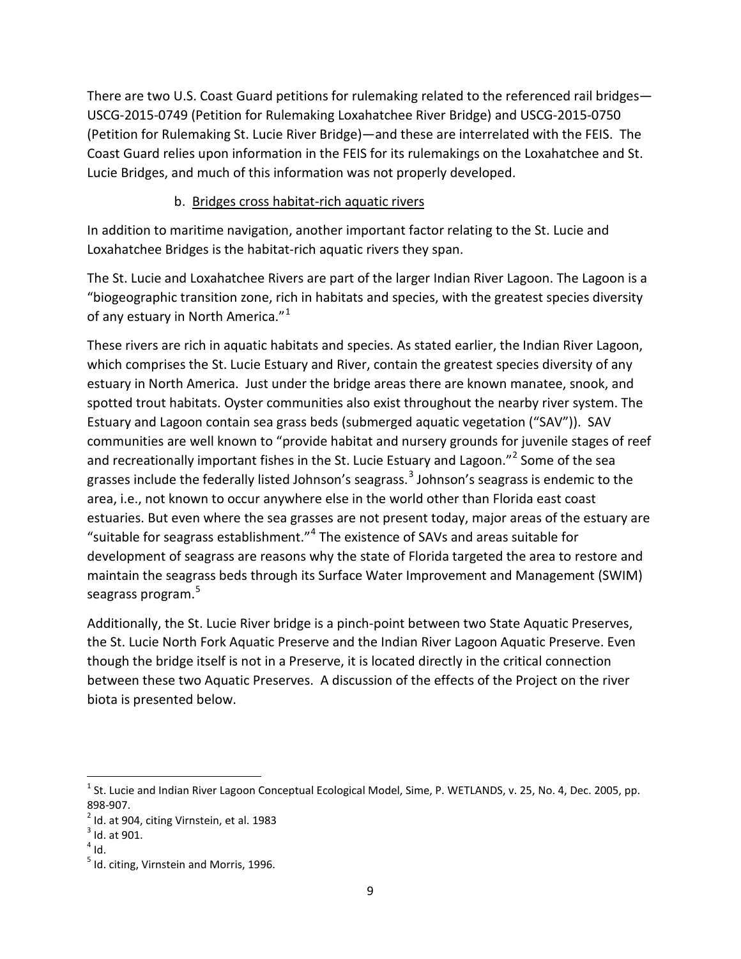There are two U.S. Coast Guard petitions for rulemaking related to the referenced rail bridges— USCG-2015-0749 (Petition for Rulemaking Loxahatchee River Bridge) and USCG-2015-0750 (Petition for Rulemaking St. Lucie River Bridge)—and these are interrelated with the FEIS. The Coast Guard relies upon information in the FEIS for its rulemakings on the Loxahatchee and St. Lucie Bridges, and much of this information was not properly developed.

#### b. Bridges cross habitat-rich aquatic rivers

In addition to maritime navigation, another important factor relating to the St. Lucie and Loxahatchee Bridges is the habitat-rich aquatic rivers they span.

The St. Lucie and Loxahatchee Rivers are part of the larger Indian River Lagoon. The Lagoon is a "biogeographic transition zone, rich in habitats and species, with the greatest species diversity of any estuary in North America."<sup>[1](#page-8-0)</sup>

These rivers are rich in aquatic habitats and species. As stated earlier, the Indian River Lagoon, which comprises the St. Lucie Estuary and River, contain the greatest species diversity of any estuary in North America. Just under the bridge areas there are known manatee, snook, and spotted trout habitats. Oyster communities also exist throughout the nearby river system. The Estuary and Lagoon contain sea grass beds (submerged aquatic vegetation ("SAV")). SAV communities are well known to "provide habitat and nursery grounds for juvenile stages of reef and recreationally important fishes in the St. Lucie Estuary and Lagoon."<sup>[2](#page-8-1)</sup> Some of the sea grasses include the federally listed Johnson's seagrass.<sup>[3](#page-8-2)</sup> Johnson's seagrass is endemic to the area, i.e., not known to occur anywhere else in the world other than Florida east coast estuaries. But even where the sea grasses are not present today, major areas of the estuary are "suitable for seagrass establishment." $4$  The existence of SAVs and areas suitable for development of seagrass are reasons why the state of Florida targeted the area to restore and maintain the seagrass beds through its Surface Water Improvement and Management (SWIM) seagrass program.<sup>[5](#page-8-4)</sup>

Additionally, the St. Lucie River bridge is a pinch-point between two State Aquatic Preserves, the St. Lucie North Fork Aquatic Preserve and the Indian River Lagoon Aquatic Preserve. Even though the bridge itself is not in a Preserve, it is located directly in the critical connection between these two Aquatic Preserves. A discussion of the effects of the Project on the river biota is presented below.

<span id="page-8-0"></span> $1$  St. Lucie and Indian River Lagoon Conceptual Ecological Model, Sime, P. WETLANDS, v. 25, No. 4, Dec. 2005, pp. 898-907.<br><sup>2</sup> Id. at 904, citing Virnstein, et al. 1983

<span id="page-8-1"></span>

<span id="page-8-2"></span> $3$  Id. at 901.

<span id="page-8-3"></span> $4$  Id.

<span id="page-8-4"></span> $<sup>5</sup>$  Id. citing, Virnstein and Morris, 1996.</sup>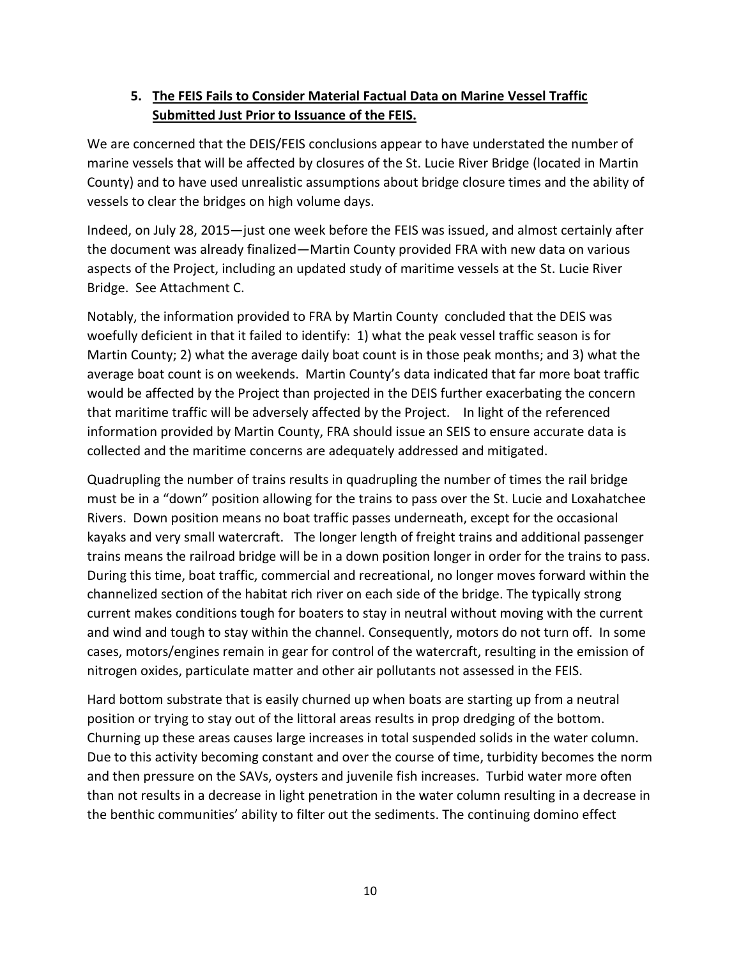### **5. The FEIS Fails to Consider Material Factual Data on Marine Vessel Traffic Submitted Just Prior to Issuance of the FEIS.**

We are concerned that the DEIS/FEIS conclusions appear to have understated the number of marine vessels that will be affected by closures of the St. Lucie River Bridge (located in Martin County) and to have used unrealistic assumptions about bridge closure times and the ability of vessels to clear the bridges on high volume days.

Indeed, on July 28, 2015—just one week before the FEIS was issued, and almost certainly after the document was already finalized—Martin County provided FRA with new data on various aspects of the Project, including an updated study of maritime vessels at the St. Lucie River Bridge. See Attachment C.

Notably, the information provided to FRA by Martin County concluded that the DEIS was woefully deficient in that it failed to identify: 1) what the peak vessel traffic season is for Martin County; 2) what the average daily boat count is in those peak months; and 3) what the average boat count is on weekends. Martin County's data indicated that far more boat traffic would be affected by the Project than projected in the DEIS further exacerbating the concern that maritime traffic will be adversely affected by the Project. In light of the referenced information provided by Martin County, FRA should issue an SEIS to ensure accurate data is collected and the maritime concerns are adequately addressed and mitigated.

Quadrupling the number of trains results in quadrupling the number of times the rail bridge must be in a "down" position allowing for the trains to pass over the St. Lucie and Loxahatchee Rivers. Down position means no boat traffic passes underneath, except for the occasional kayaks and very small watercraft. The longer length of freight trains and additional passenger trains means the railroad bridge will be in a down position longer in order for the trains to pass. During this time, boat traffic, commercial and recreational, no longer moves forward within the channelized section of the habitat rich river on each side of the bridge. The typically strong current makes conditions tough for boaters to stay in neutral without moving with the current and wind and tough to stay within the channel. Consequently, motors do not turn off. In some cases, motors/engines remain in gear for control of the watercraft, resulting in the emission of nitrogen oxides, particulate matter and other air pollutants not assessed in the FEIS.

Hard bottom substrate that is easily churned up when boats are starting up from a neutral position or trying to stay out of the littoral areas results in prop dredging of the bottom. Churning up these areas causes large increases in total suspended solids in the water column. Due to this activity becoming constant and over the course of time, turbidity becomes the norm and then pressure on the SAVs, oysters and juvenile fish increases. Turbid water more often than not results in a decrease in light penetration in the water column resulting in a decrease in the benthic communities' ability to filter out the sediments. The continuing domino effect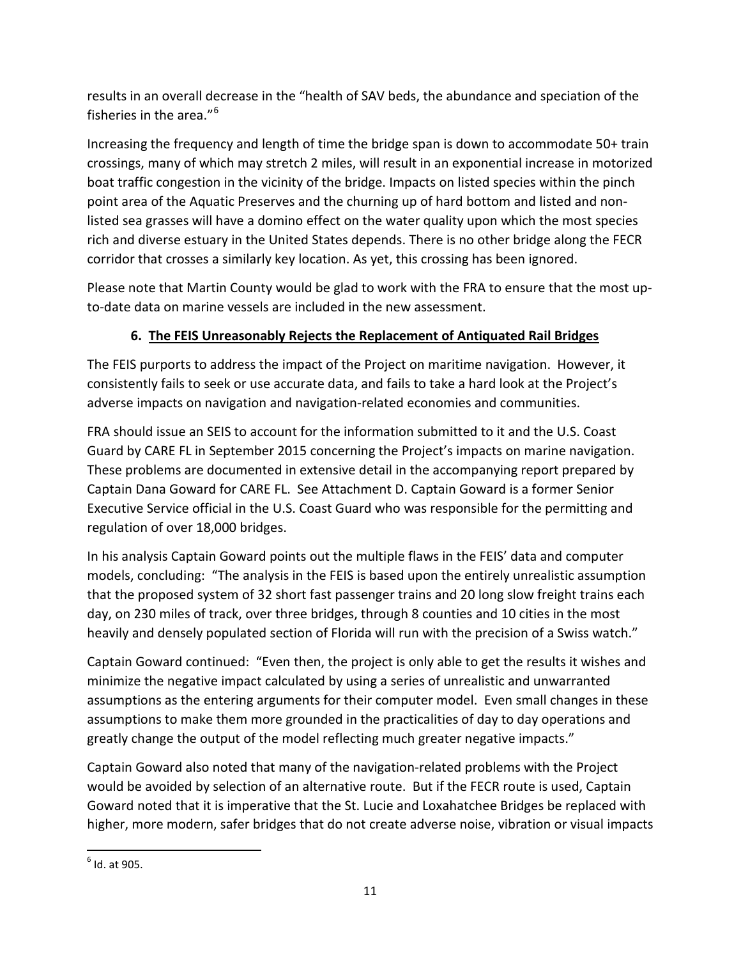results in an overall decrease in the "health of SAV beds, the abundance and speciation of the fisheries in the area."[6](#page-10-0)

Increasing the frequency and length of time the bridge span is down to accommodate 50+ train crossings, many of which may stretch 2 miles, will result in an exponential increase in motorized boat traffic congestion in the vicinity of the bridge. Impacts on listed species within the pinch point area of the Aquatic Preserves and the churning up of hard bottom and listed and nonlisted sea grasses will have a domino effect on the water quality upon which the most species rich and diverse estuary in the United States depends. There is no other bridge along the FECR corridor that crosses a similarly key location. As yet, this crossing has been ignored.

Please note that Martin County would be glad to work with the FRA to ensure that the most upto-date data on marine vessels are included in the new assessment.

# **6. The FEIS Unreasonably Rejects the Replacement of Antiquated Rail Bridges**

The FEIS purports to address the impact of the Project on maritime navigation. However, it consistently fails to seek or use accurate data, and fails to take a hard look at the Project's adverse impacts on navigation and navigation-related economies and communities.

FRA should issue an SEIS to account for the information submitted to it and the U.S. Coast Guard by CARE FL in September 2015 concerning the Project's impacts on marine navigation. These problems are documented in extensive detail in the accompanying report prepared by Captain Dana Goward for CARE FL. See Attachment D. Captain Goward is a former Senior Executive Service official in the U.S. Coast Guard who was responsible for the permitting and regulation of over 18,000 bridges.

In his analysis Captain Goward points out the multiple flaws in the FEIS' data and computer models, concluding: "The analysis in the FEIS is based upon the entirely unrealistic assumption that the proposed system of 32 short fast passenger trains and 20 long slow freight trains each day, on 230 miles of track, over three bridges, through 8 counties and 10 cities in the most heavily and densely populated section of Florida will run with the precision of a Swiss watch."

Captain Goward continued: "Even then, the project is only able to get the results it wishes and minimize the negative impact calculated by using a series of unrealistic and unwarranted assumptions as the entering arguments for their computer model. Even small changes in these assumptions to make them more grounded in the practicalities of day to day operations and greatly change the output of the model reflecting much greater negative impacts."

Captain Goward also noted that many of the navigation-related problems with the Project would be avoided by selection of an alternative route. But if the FECR route is used, Captain Goward noted that it is imperative that the St. Lucie and Loxahatchee Bridges be replaced with higher, more modern, safer bridges that do not create adverse noise, vibration or visual impacts

<span id="page-10-0"></span> $6$  Id. at 905.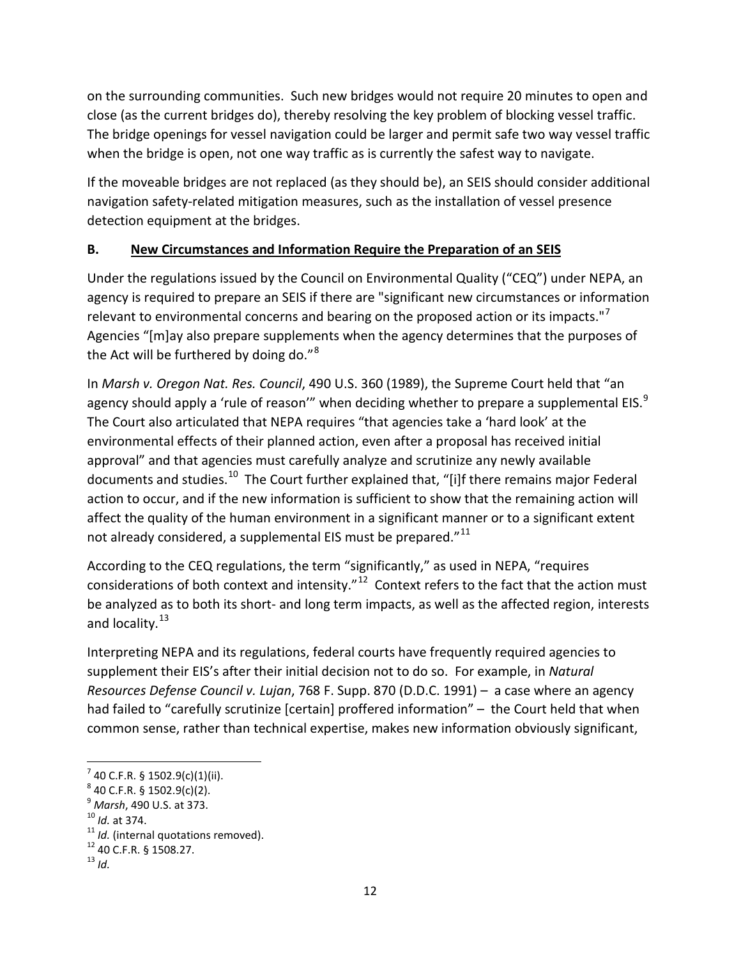on the surrounding communities. Such new bridges would not require 20 minutes to open and close (as the current bridges do), thereby resolving the key problem of blocking vessel traffic. The bridge openings for vessel navigation could be larger and permit safe two way vessel traffic when the bridge is open, not one way traffic as is currently the safest way to navigate.

If the moveable bridges are not replaced (as they should be), an SEIS should consider additional navigation safety-related mitigation measures, such as the installation of vessel presence detection equipment at the bridges.

### **B. New Circumstances and Information Require the Preparation of an SEIS**

Under the regulations issued by the Council on Environmental Quality ("CEQ") under NEPA, an agency is required to prepare an SEIS if there are "significant new circumstances or information relevant to environmental concerns and bearing on the proposed action or its impacts."<sup>[7](#page-11-0)</sup> Agencies "[m]ay also prepare supplements when the agency determines that the purposes of the Act will be furthered by doing do." $8$ 

In *Marsh v. Oregon Nat. Res. Council*, 490 U.S. 360 (1989), the Supreme Court held that "an agency should apply a 'rule of reason'" when deciding whether to prepare a supplemental EIS. $^{9}$  $^{9}$  $^{9}$ The Court also articulated that NEPA requires "that agencies take a 'hard look' at the environmental effects of their planned action, even after a proposal has received initial approval" and that agencies must carefully analyze and scrutinize any newly available documents and studies.<sup>10</sup> The Court further explained that, "[i]f there remains major Federal action to occur, and if the new information is sufficient to show that the remaining action will affect the quality of the human environment in a significant manner or to a significant extent not already considered, a supplemental EIS must be prepared."<sup>[11](#page-11-4)</sup>

According to the CEQ regulations, the term "significantly," as used in NEPA, "requires considerations of both context and intensity."<sup>[12](#page-11-5)</sup> Context refers to the fact that the action must be analyzed as to both its short- and long term impacts, as well as the affected region, interests and locality.<sup>13</sup>

Interpreting NEPA and its regulations, federal courts have frequently required agencies to supplement their EIS's after their initial decision not to do so. For example, in *Natural Resources Defense Council v. Lujan*, 768 F. Supp. 870 (D.D.C. 1991) – a case where an agency had failed to "carefully scrutinize [certain] proffered information" - the Court held that when common sense, rather than technical expertise, makes new information obviously significant,

<span id="page-11-2"></span>

<span id="page-11-4"></span><span id="page-11-3"></span>

<span id="page-11-1"></span><span id="page-11-0"></span><sup>&</sup>lt;sup>7</sup> 40 C.F.R. § 1502.9(c)(1)(ii).<br><sup>8</sup> 40 C.F.R. § 1502.9(c)(2).<br><sup>9</sup> *Marsh*, 490 U.S. at 373.<br><sup>10</sup> *Id.* at 374.<br><sup>11</sup> *Id.* (internal quotations removed).<br><sup>12</sup> 40 C.F.R. § 1508.27.<br><sup>13</sup> *Id* 

<span id="page-11-6"></span><span id="page-11-5"></span>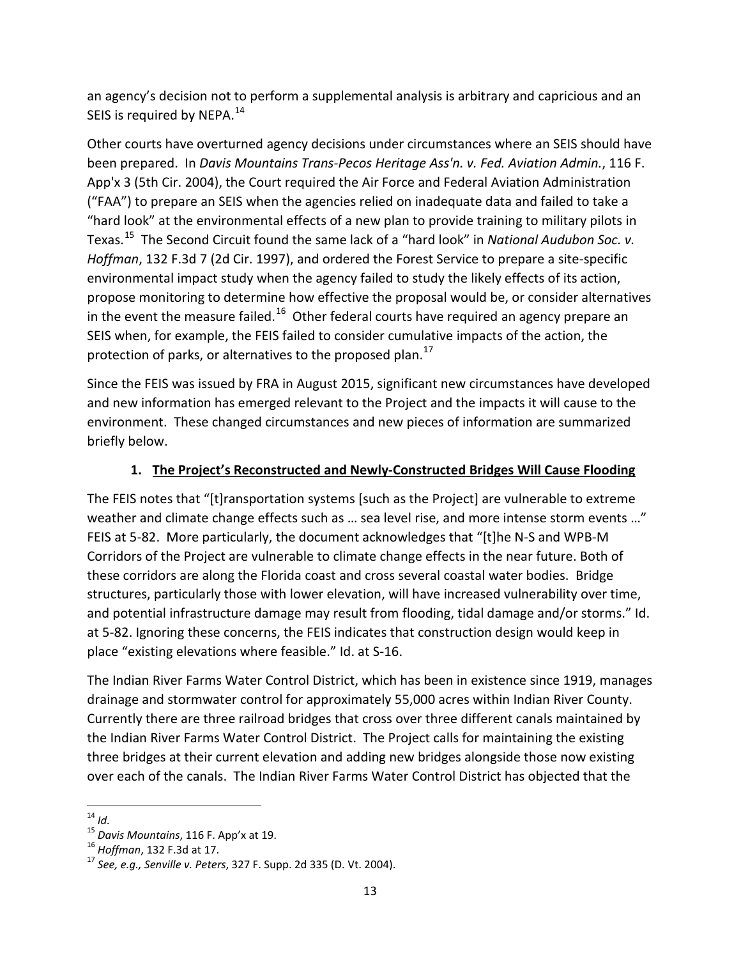an agency's decision not to perform a supplemental analysis is arbitrary and capricious and an SEIS is required by NEPA.<sup>[14](#page-12-0)</sup>

Other courts have overturned agency decisions under circumstances where an SEIS should have been prepared. In *Davis Mountains Trans-Pecos Heritage Ass'n. v. Fed. Aviation Admin.*, 116 F. App'x 3 (5th Cir. 2004), the Court required the Air Force and Federal Aviation Administration ("FAA") to prepare an SEIS when the agencies relied on inadequate data and failed to take a "hard look" at the environmental effects of a new plan to provide training to military pilots in Texas.[15](#page-12-1) The Second Circuit found the same lack of a "hard look" in *National Audubon Soc. v. Hoffman*, 132 F.3d 7 (2d Cir. 1997), and ordered the Forest Service to prepare a site-specific environmental impact study when the agency failed to study the likely effects of its action, propose monitoring to determine how effective the proposal would be, or consider alternatives in the event the measure failed.<sup>[16](#page-12-2)</sup> Other federal courts have required an agency prepare an SEIS when, for example, the FEIS failed to consider cumulative impacts of the action, the protection of parks, or alternatives to the proposed plan.<sup>[17](#page-12-3)</sup>

Since the FEIS was issued by FRA in August 2015, significant new circumstances have developed and new information has emerged relevant to the Project and the impacts it will cause to the environment. These changed circumstances and new pieces of information are summarized briefly below.

#### **1. The Project's Reconstructed and Newly-Constructed Bridges Will Cause Flooding**

The FEIS notes that "[t]ransportation systems [such as the Project] are vulnerable to extreme weather and climate change effects such as ... sea level rise, and more intense storm events ..." FEIS at 5-82. More particularly, the document acknowledges that "[t]he N-S and WPB-M Corridors of the Project are vulnerable to climate change effects in the near future. Both of these corridors are along the Florida coast and cross several coastal water bodies. Bridge structures, particularly those with lower elevation, will have increased vulnerability over time, and potential infrastructure damage may result from flooding, tidal damage and/or storms." Id. at 5-82. Ignoring these concerns, the FEIS indicates that construction design would keep in place "existing elevations where feasible." Id. at S-16.

The Indian River Farms Water Control District, which has been in existence since 1919, manages drainage and stormwater control for approximately 55,000 acres within Indian River County. Currently there are three railroad bridges that cross over three different canals maintained by the Indian River Farms Water Control District. The Project calls for maintaining the existing three bridges at their current elevation and adding new bridges alongside those now existing over each of the canals. The Indian River Farms Water Control District has objected that the

<span id="page-12-1"></span><span id="page-12-0"></span><sup>&</sup>lt;sup>14</sup> *Id.*<br><sup>15</sup> Davis Mountains, 116 F. App'x at 19.

<span id="page-12-3"></span><span id="page-12-2"></span><sup>&</sup>lt;sup>16</sup> Hoffman, 132 F.3d at 17.<br><sup>17</sup> See, e.g., Senville v. Peters, 327 F. Supp. 2d 335 (D. Vt. 2004).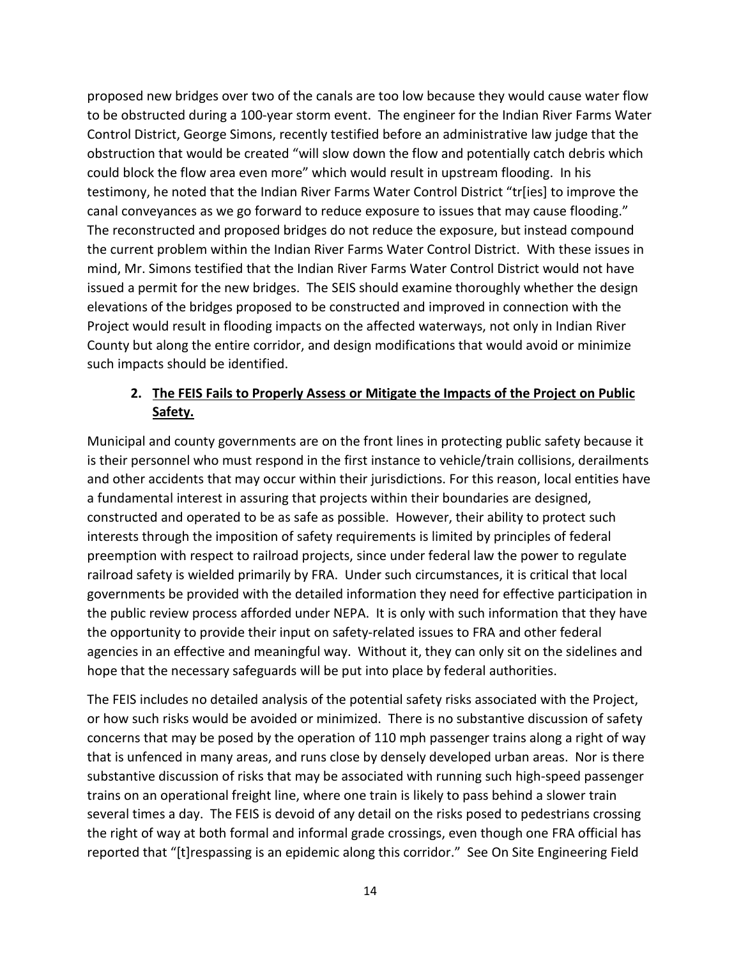proposed new bridges over two of the canals are too low because they would cause water flow to be obstructed during a 100-year storm event. The engineer for the Indian River Farms Water Control District, George Simons, recently testified before an administrative law judge that the obstruction that would be created "will slow down the flow and potentially catch debris which could block the flow area even more" which would result in upstream flooding. In his testimony, he noted that the Indian River Farms Water Control District "tr[ies] to improve the canal conveyances as we go forward to reduce exposure to issues that may cause flooding." The reconstructed and proposed bridges do not reduce the exposure, but instead compound the current problem within the Indian River Farms Water Control District. With these issues in mind, Mr. Simons testified that the Indian River Farms Water Control District would not have issued a permit for the new bridges. The SEIS should examine thoroughly whether the design elevations of the bridges proposed to be constructed and improved in connection with the Project would result in flooding impacts on the affected waterways, not only in Indian River County but along the entire corridor, and design modifications that would avoid or minimize such impacts should be identified.

### **2. The FEIS Fails to Properly Assess or Mitigate the Impacts of the Project on Public Safety.**

Municipal and county governments are on the front lines in protecting public safety because it is their personnel who must respond in the first instance to vehicle/train collisions, derailments and other accidents that may occur within their jurisdictions. For this reason, local entities have a fundamental interest in assuring that projects within their boundaries are designed, constructed and operated to be as safe as possible. However, their ability to protect such interests through the imposition of safety requirements is limited by principles of federal preemption with respect to railroad projects, since under federal law the power to regulate railroad safety is wielded primarily by FRA. Under such circumstances, it is critical that local governments be provided with the detailed information they need for effective participation in the public review process afforded under NEPA. It is only with such information that they have the opportunity to provide their input on safety-related issues to FRA and other federal agencies in an effective and meaningful way. Without it, they can only sit on the sidelines and hope that the necessary safeguards will be put into place by federal authorities.

The FEIS includes no detailed analysis of the potential safety risks associated with the Project, or how such risks would be avoided or minimized. There is no substantive discussion of safety concerns that may be posed by the operation of 110 mph passenger trains along a right of way that is unfenced in many areas, and runs close by densely developed urban areas. Nor is there substantive discussion of risks that may be associated with running such high-speed passenger trains on an operational freight line, where one train is likely to pass behind a slower train several times a day. The FEIS is devoid of any detail on the risks posed to pedestrians crossing the right of way at both formal and informal grade crossings, even though one FRA official has reported that "[t]respassing is an epidemic along this corridor." See On Site Engineering Field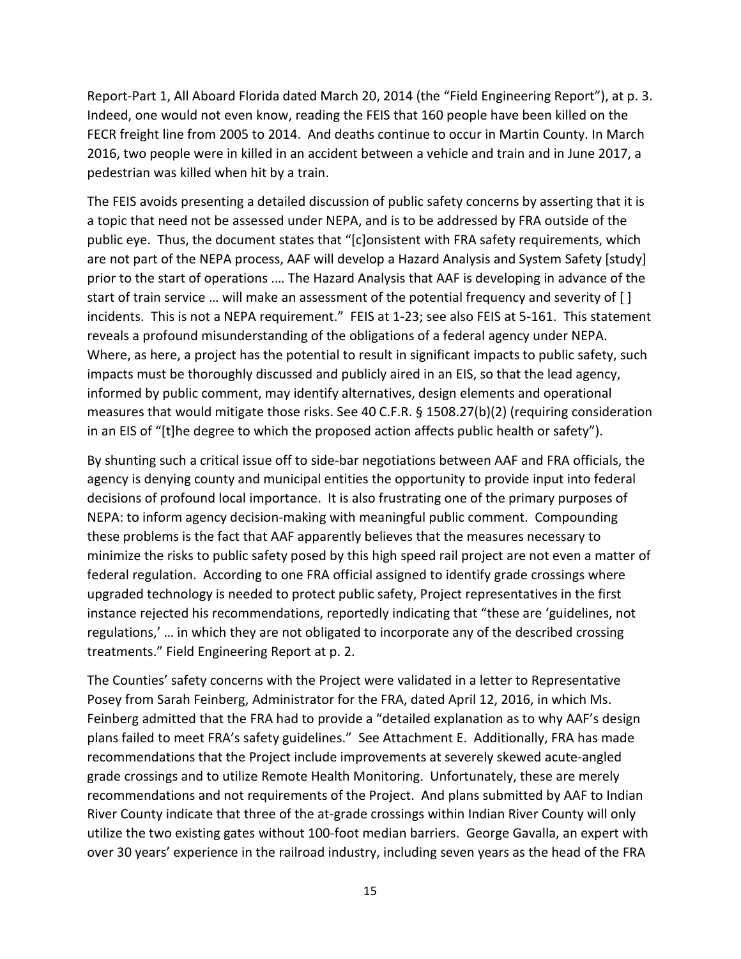Report-Part 1, All Aboard Florida dated March 20, 2014 (the "Field Engineering Report"), at p. 3. Indeed, one would not even know, reading the FEIS that 160 people have been killed on the FECR freight line from 2005 to 2014. And deaths continue to occur in Martin County. In March 2016, two people were in killed in an accident between a vehicle and train and in June 2017, a pedestrian was killed when hit by a train.

The FEIS avoids presenting a detailed discussion of public safety concerns by asserting that it is a topic that need not be assessed under NEPA, and is to be addressed by FRA outside of the public eye. Thus, the document states that "[c]onsistent with FRA safety requirements, which are not part of the NEPA process, AAF will develop a Hazard Analysis and System Safety [study] prior to the start of operations .… The Hazard Analysis that AAF is developing in advance of the start of train service … will make an assessment of the potential frequency and severity of [ ] incidents. This is not a NEPA requirement." FEIS at 1-23; see also FEIS at 5-161. This statement reveals a profound misunderstanding of the obligations of a federal agency under NEPA. Where, as here, a project has the potential to result in significant impacts to public safety, such impacts must be thoroughly discussed and publicly aired in an EIS, so that the lead agency, informed by public comment, may identify alternatives, design elements and operational measures that would mitigate those risks. See 40 C.F.R. § 1508.27(b)(2) (requiring consideration in an EIS of "[t]he degree to which the proposed action affects public health or safety").

By shunting such a critical issue off to side-bar negotiations between AAF and FRA officials, the agency is denying county and municipal entities the opportunity to provide input into federal decisions of profound local importance. It is also frustrating one of the primary purposes of NEPA: to inform agency decision-making with meaningful public comment. Compounding these problems is the fact that AAF apparently believes that the measures necessary to minimize the risks to public safety posed by this high speed rail project are not even a matter of federal regulation. According to one FRA official assigned to identify grade crossings where upgraded technology is needed to protect public safety, Project representatives in the first instance rejected his recommendations, reportedly indicating that "these are 'guidelines, not regulations,' … in which they are not obligated to incorporate any of the described crossing treatments." Field Engineering Report at p. 2.

The Counties' safety concerns with the Project were validated in a letter to Representative Posey from Sarah Feinberg, Administrator for the FRA, dated April 12, 2016, in which Ms. Feinberg admitted that the FRA had to provide a "detailed explanation as to why AAF's design plans failed to meet FRA's safety guidelines." See Attachment E. Additionally, FRA has made recommendations that the Project include improvements at severely skewed acute-angled grade crossings and to utilize Remote Health Monitoring. Unfortunately, these are merely recommendations and not requirements of the Project. And plans submitted by AAF to Indian River County indicate that three of the at-grade crossings within Indian River County will only utilize the two existing gates without 100-foot median barriers. George Gavalla, an expert with over 30 years' experience in the railroad industry, including seven years as the head of the FRA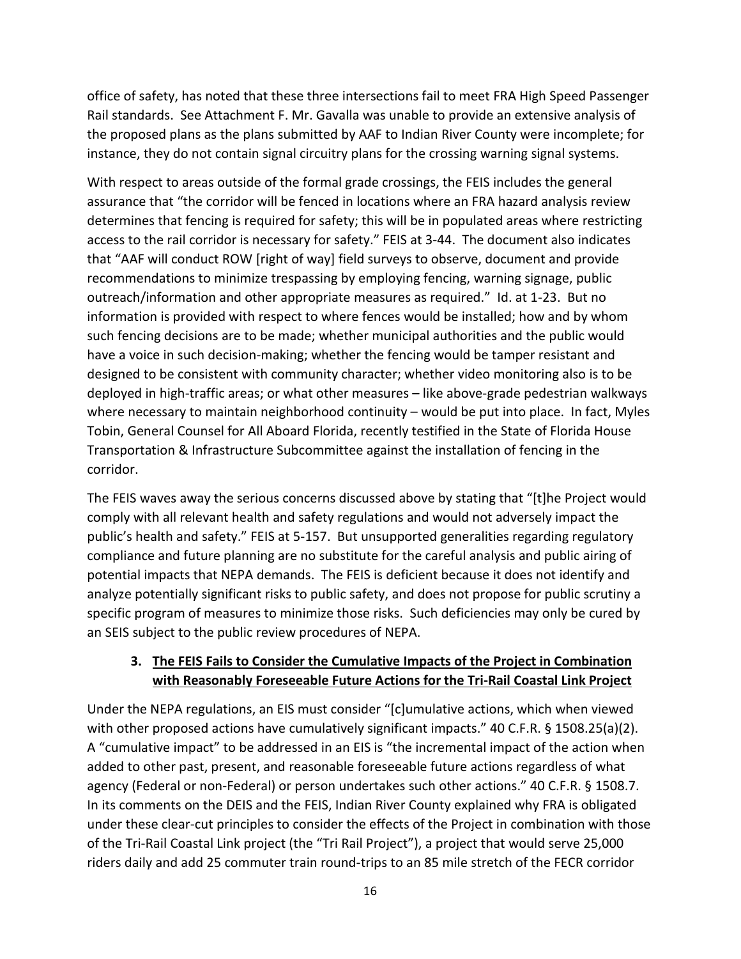office of safety, has noted that these three intersections fail to meet FRA High Speed Passenger Rail standards. See Attachment F. Mr. Gavalla was unable to provide an extensive analysis of the proposed plans as the plans submitted by AAF to Indian River County were incomplete; for instance, they do not contain signal circuitry plans for the crossing warning signal systems.

With respect to areas outside of the formal grade crossings, the FEIS includes the general assurance that "the corridor will be fenced in locations where an FRA hazard analysis review determines that fencing is required for safety; this will be in populated areas where restricting access to the rail corridor is necessary for safety." FEIS at 3-44. The document also indicates that "AAF will conduct ROW [right of way] field surveys to observe, document and provide recommendations to minimize trespassing by employing fencing, warning signage, public outreach/information and other appropriate measures as required." Id. at 1-23. But no information is provided with respect to where fences would be installed; how and by whom such fencing decisions are to be made; whether municipal authorities and the public would have a voice in such decision-making; whether the fencing would be tamper resistant and designed to be consistent with community character; whether video monitoring also is to be deployed in high-traffic areas; or what other measures – like above-grade pedestrian walkways where necessary to maintain neighborhood continuity - would be put into place. In fact, Myles Tobin, General Counsel for All Aboard Florida, recently testified in the State of Florida House Transportation & Infrastructure Subcommittee against the installation of fencing in the corridor.

The FEIS waves away the serious concerns discussed above by stating that "[t]he Project would comply with all relevant health and safety regulations and would not adversely impact the public's health and safety." FEIS at 5-157. But unsupported generalities regarding regulatory compliance and future planning are no substitute for the careful analysis and public airing of potential impacts that NEPA demands. The FEIS is deficient because it does not identify and analyze potentially significant risks to public safety, and does not propose for public scrutiny a specific program of measures to minimize those risks. Such deficiencies may only be cured by an SEIS subject to the public review procedures of NEPA.

#### **3. The FEIS Fails to Consider the Cumulative Impacts of the Project in Combination with Reasonably Foreseeable Future Actions for the Tri-Rail Coastal Link Project**

Under the NEPA regulations, an EIS must consider "[c]umulative actions, which when viewed with other proposed actions have cumulatively significant impacts." 40 C.F.R. § 1508.25(a)(2). A "cumulative impact" to be addressed in an EIS is "the incremental impact of the action when added to other past, present, and reasonable foreseeable future actions regardless of what agency (Federal or non-Federal) or person undertakes such other actions." 40 C.F.R. § 1508.7. In its comments on the DEIS and the FEIS, Indian River County explained why FRA is obligated under these clear-cut principles to consider the effects of the Project in combination with those of the Tri-Rail Coastal Link project (the "Tri Rail Project"), a project that would serve 25,000 riders daily and add 25 commuter train round-trips to an 85 mile stretch of the FECR corridor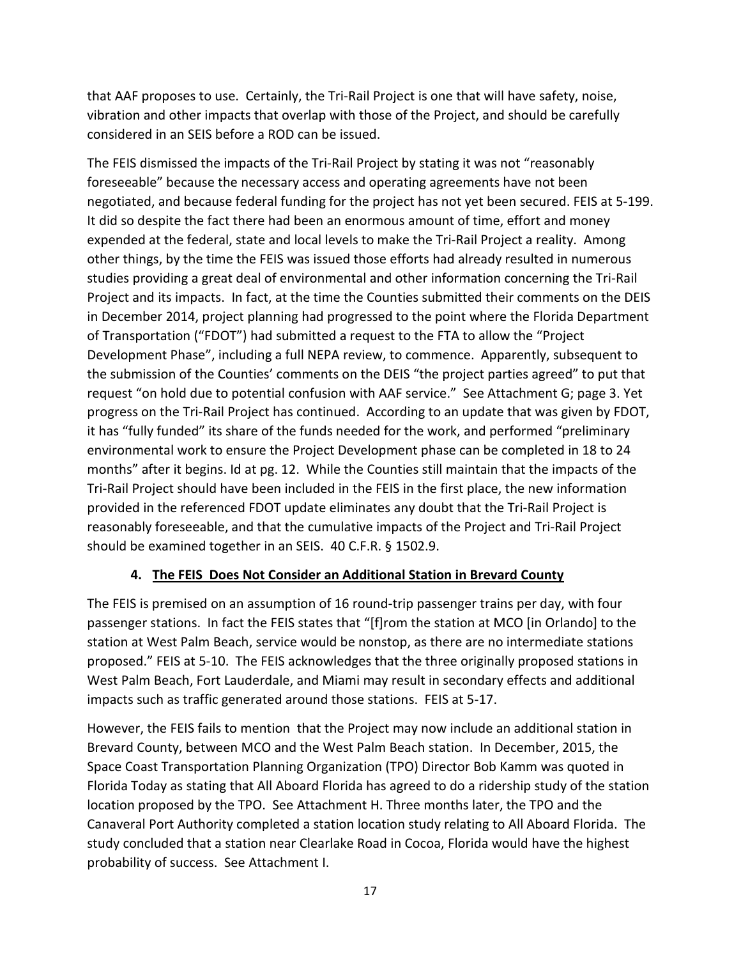that AAF proposes to use. Certainly, the Tri-Rail Project is one that will have safety, noise, vibration and other impacts that overlap with those of the Project, and should be carefully considered in an SEIS before a ROD can be issued.

The FEIS dismissed the impacts of the Tri-Rail Project by stating it was not "reasonably foreseeable" because the necessary access and operating agreements have not been negotiated, and because federal funding for the project has not yet been secured. FEIS at 5-199. It did so despite the fact there had been an enormous amount of time, effort and money expended at the federal, state and local levels to make the Tri-Rail Project a reality. Among other things, by the time the FEIS was issued those efforts had already resulted in numerous studies providing a great deal of environmental and other information concerning the Tri-Rail Project and its impacts. In fact, at the time the Counties submitted their comments on the DEIS in December 2014, project planning had progressed to the point where the Florida Department of Transportation ("FDOT") had submitted a request to the FTA to allow the "Project Development Phase", including a full NEPA review, to commence. Apparently, subsequent to the submission of the Counties' comments on the DEIS "the project parties agreed" to put that request "on hold due to potential confusion with AAF service." See Attachment G; page 3. Yet progress on the Tri-Rail Project has continued. According to an update that was given by FDOT, it has "fully funded" its share of the funds needed for the work, and performed "preliminary environmental work to ensure the Project Development phase can be completed in 18 to 24 months" after it begins. Id at pg. 12. While the Counties still maintain that the impacts of the Tri-Rail Project should have been included in the FEIS in the first place, the new information provided in the referenced FDOT update eliminates any doubt that the Tri-Rail Project is reasonably foreseeable, and that the cumulative impacts of the Project and Tri-Rail Project should be examined together in an SEIS. 40 C.F.R. § 1502.9.

#### **4. The FEIS Does Not Consider an Additional Station in Brevard County**

The FEIS is premised on an assumption of 16 round-trip passenger trains per day, with four passenger stations. In fact the FEIS states that "[f]rom the station at MCO [in Orlando] to the station at West Palm Beach, service would be nonstop, as there are no intermediate stations proposed." FEIS at 5-10. The FEIS acknowledges that the three originally proposed stations in West Palm Beach, Fort Lauderdale, and Miami may result in secondary effects and additional impacts such as traffic generated around those stations. FEIS at 5-17.

However, the FEIS fails to mention that the Project may now include an additional station in Brevard County, between MCO and the West Palm Beach station. In December, 2015, the Space Coast Transportation Planning Organization (TPO) Director Bob Kamm was quoted in Florida Today as stating that All Aboard Florida has agreed to do a ridership study of the station location proposed by the TPO. See Attachment H. Three months later, the TPO and the Canaveral Port Authority completed a station location study relating to All Aboard Florida. The study concluded that a station near Clearlake Road in Cocoa, Florida would have the highest probability of success. See Attachment I.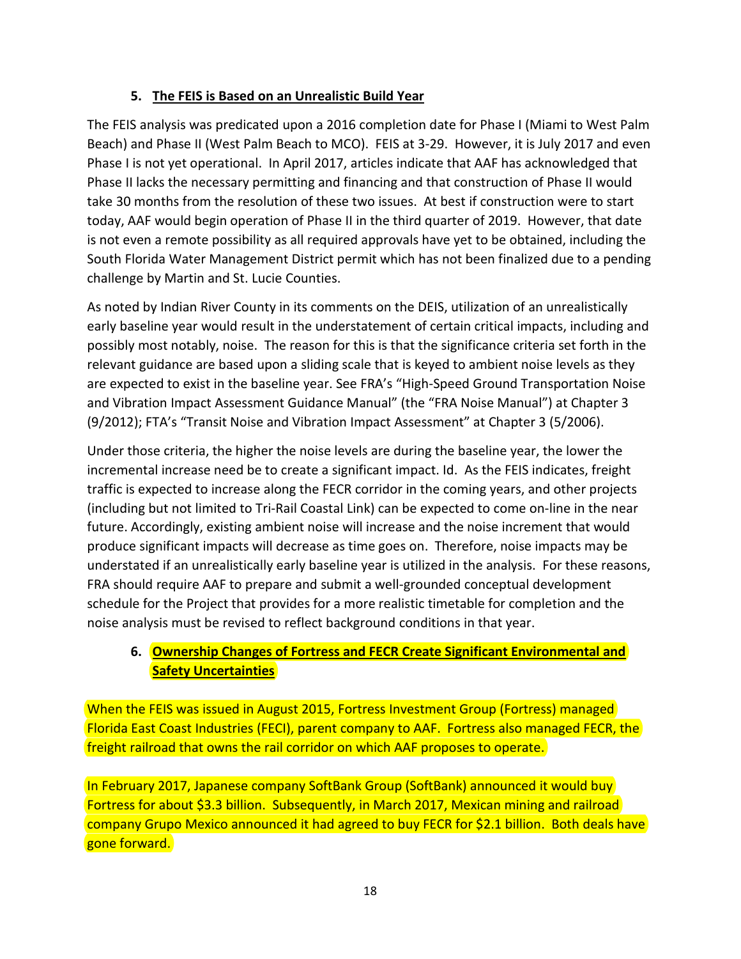### **5. The FEIS is Based on an Unrealistic Build Year**

The FEIS analysis was predicated upon a 2016 completion date for Phase I (Miami to West Palm Beach) and Phase II (West Palm Beach to MCO). FEIS at 3-29. However, it is July 2017 and even Phase I is not yet operational. In April 2017, articles indicate that AAF has acknowledged that Phase II lacks the necessary permitting and financing and that construction of Phase II would take 30 months from the resolution of these two issues. At best if construction were to start today, AAF would begin operation of Phase II in the third quarter of 2019. However, that date is not even a remote possibility as all required approvals have yet to be obtained, including the South Florida Water Management District permit which has not been finalized due to a pending challenge by Martin and St. Lucie Counties.

As noted by Indian River County in its comments on the DEIS, utilization of an unrealistically early baseline year would result in the understatement of certain critical impacts, including and possibly most notably, noise. The reason for this is that the significance criteria set forth in the relevant guidance are based upon a sliding scale that is keyed to ambient noise levels as they are expected to exist in the baseline year. See FRA's "High-Speed Ground Transportation Noise and Vibration Impact Assessment Guidance Manual" (the "FRA Noise Manual") at Chapter 3 (9/2012); FTA's "Transit Noise and Vibration Impact Assessment" at Chapter 3 (5/2006).

Under those criteria, the higher the noise levels are during the baseline year, the lower the incremental increase need be to create a significant impact. Id. As the FEIS indicates, freight traffic is expected to increase along the FECR corridor in the coming years, and other projects (including but not limited to Tri-Rail Coastal Link) can be expected to come on-line in the near future. Accordingly, existing ambient noise will increase and the noise increment that would produce significant impacts will decrease as time goes on. Therefore, noise impacts may be understated if an unrealistically early baseline year is utilized in the analysis. For these reasons, FRA should require AAF to prepare and submit a well-grounded conceptual development schedule for the Project that provides for a more realistic timetable for completion and the noise analysis must be revised to reflect background conditions in that year.

### **6. Ownership Changes of Fortress and FECR Create Significant Environmental and Safety Uncertainties**

When the FEIS was issued in August 2015, Fortress Investment Group (Fortress) managed Florida East Coast Industries (FECI), parent company to AAF. Fortress also managed FECR, the freight railroad that owns the rail corridor on which AAF proposes to operate.

In February 2017, Japanese company SoftBank Group (SoftBank) announced it would buy Fortress for about \$3.3 billion. Subsequently, in March 2017, Mexican mining and railroad company Grupo Mexico announced it had agreed to buy FECR for \$2.1 billion. Both deals have gone forward.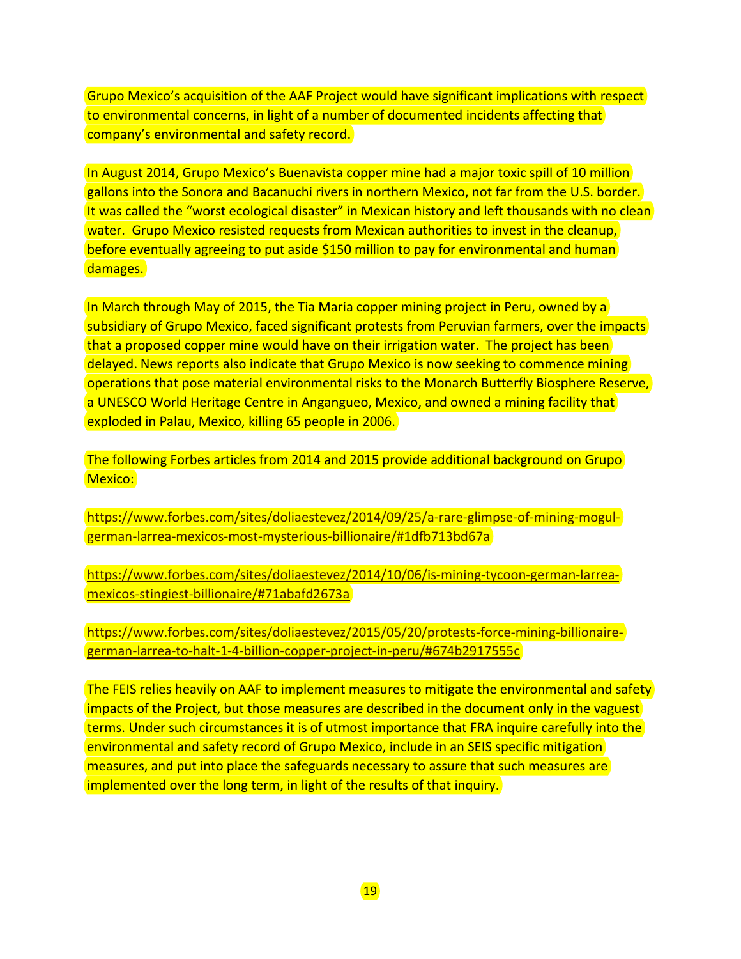Grupo Mexico's acquisition of the AAF Project would have significant implications with respect to environmental concerns, in light of a number of documented incidents affecting that company's environmental and safety record.

In August 2014, Grupo Mexico's Buenavista copper mine had a major toxic spill of 10 million gallons into the Sonora and Bacanuchi rivers in northern Mexico, not far from the U.S. border. It was called the "worst ecological disaster" in Mexican history and left thousands with no clean water. Grupo Mexico resisted requests from Mexican authorities to invest in the cleanup, before eventually agreeing to put aside \$150 million to pay for environmental and human damages.

In March through May of 2015, the Tia Maria copper mining project in Peru, owned by a subsidiary of Grupo Mexico, faced significant protests from Peruvian farmers, over the impacts that a proposed copper mine would have on their irrigation water. The project has been delayed. News reports also indicate that Grupo Mexico is now seeking to commence mining operations that pose material environmental risks to the Monarch Butterfly Biosphere Reserve, a UNESCO World Heritage Centre in Angangueo, Mexico, and owned a mining facility that exploded in Palau, Mexico, killing 65 people in 2006.

The following Forbes articles from 2014 and 2015 provide additional background on Grupo Mexico:

[https://www.forbes.com/sites/doliaestevez/2014/09/25/a-rare-glimpse-of-mining-mogul](https://www.forbes.com/sites/doliaestevez/2014/09/25/a-rare-glimpse-of-mining-mogul-german-larrea-mexicos-most-mysterious-billionaire/#1dfb713bd67a)[german-larrea-mexicos-most-mysterious-billionaire/#1dfb713bd67a](https://www.forbes.com/sites/doliaestevez/2014/09/25/a-rare-glimpse-of-mining-mogul-german-larrea-mexicos-most-mysterious-billionaire/#1dfb713bd67a)

[https://www.forbes.com/sites/doliaestevez/2014/10/06/is-mining-tycoon-german-larrea](https://www.forbes.com/sites/doliaestevez/2014/10/06/is-mining-tycoon-german-larrea-mexicos-stingiest-billionaire/#71abafd2673a)[mexicos-stingiest-billionaire/#71abafd2673a](https://www.forbes.com/sites/doliaestevez/2014/10/06/is-mining-tycoon-german-larrea-mexicos-stingiest-billionaire/#71abafd2673a) 

[https://www.forbes.com/sites/doliaestevez/2015/05/20/protests-force-mining-billionaire](https://www.forbes.com/sites/doliaestevez/2015/05/20/protests-force-mining-billionaire-german-larrea-to-halt-1-4-billion-copper-project-in-peru/#674b2917555c)[german-larrea-to-halt-1-4-billion-copper-project-in-peru/#674b2917555c](https://www.forbes.com/sites/doliaestevez/2015/05/20/protests-force-mining-billionaire-german-larrea-to-halt-1-4-billion-copper-project-in-peru/#674b2917555c)

The FEIS relies heavily on AAF to implement measures to mitigate the environmental and safety impacts of the Project, but those measures are described in the document only in the vaguest terms. Under such circumstances it is of utmost importance that FRA inquire carefully into the environmental and safety record of Grupo Mexico, include in an SEIS specific mitigation measures, and put into place the safeguards necessary to assure that such measures are implemented over the long term, in light of the results of that inquiry.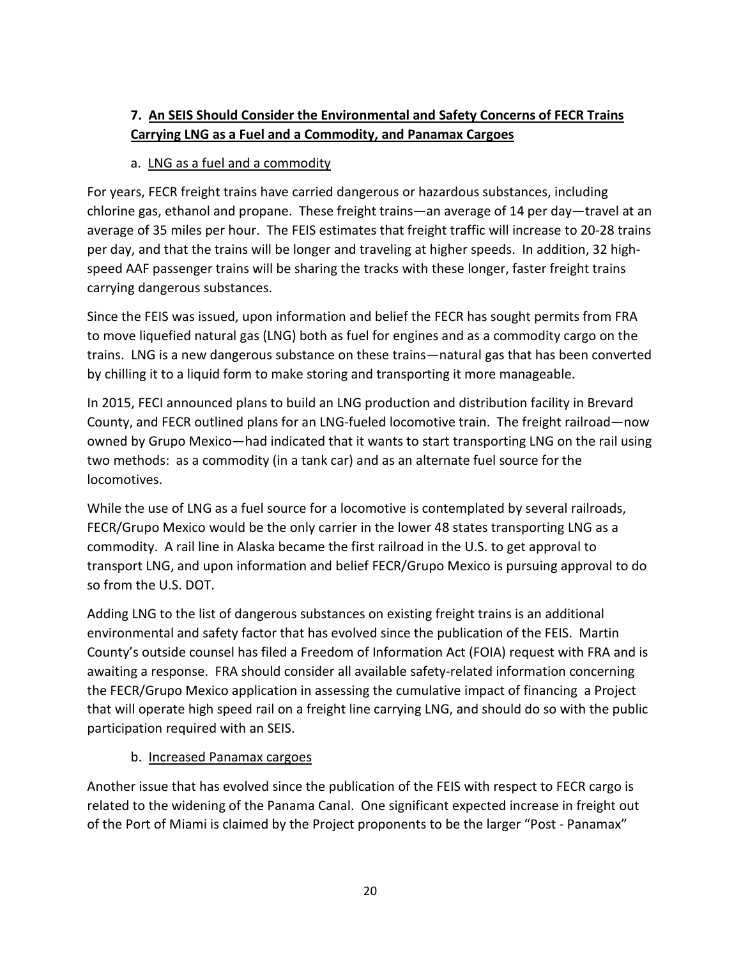## **7. An SEIS Should Consider the Environmental and Safety Concerns of FECR Trains Carrying LNG as a Fuel and a Commodity, and Panamax Cargoes**

#### a. LNG as a fuel and a commodity

For years, FECR freight trains have carried dangerous or hazardous substances, including chlorine gas, ethanol and propane. These freight trains—an average of 14 per day—travel at an average of 35 miles per hour. The FEIS estimates that freight traffic will increase to 20-28 trains per day, and that the trains will be longer and traveling at higher speeds. In addition, 32 highspeed AAF passenger trains will be sharing the tracks with these longer, faster freight trains carrying dangerous substances.

Since the FEIS was issued, upon information and belief the FECR has sought permits from FRA to move liquefied natural gas (LNG) both as fuel for engines and as a commodity cargo on the trains. LNG is a new dangerous substance on these trains—natural gas that has been converted by chilling it to a liquid form to make storing and transporting it more manageable.

In 2015, FECI announced plans to build an LNG production and distribution facility in Brevard County, and FECR outlined plans for an LNG-fueled locomotive train. The freight railroad—now owned by Grupo Mexico—had indicated that it wants to start transporting LNG on the rail using two methods: as a commodity (in a tank car) and as an alternate fuel source for the locomotives.

While the use of LNG as a fuel source for a locomotive is contemplated by several railroads, FECR/Grupo Mexico would be the only carrier in the lower 48 states transporting LNG as a commodity. A rail line in Alaska became the first railroad in the U.S. to get approval to transport LNG, and upon information and belief FECR/Grupo Mexico is pursuing approval to do so from the U.S. DOT.

Adding LNG to the list of dangerous substances on existing freight trains is an additional environmental and safety factor that has evolved since the publication of the FEIS. Martin County's outside counsel has filed a Freedom of Information Act (FOIA) request with FRA and is awaiting a response. FRA should consider all available safety-related information concerning the FECR/Grupo Mexico application in assessing the cumulative impact of financing a Project that will operate high speed rail on a freight line carrying LNG, and should do so with the public participation required with an SEIS.

#### b. Increased Panamax cargoes

Another issue that has evolved since the publication of the FEIS with respect to FECR cargo is related to the widening of the Panama Canal. One significant expected increase in freight out of the Port of Miami is claimed by the Project proponents to be the larger "Post - Panamax"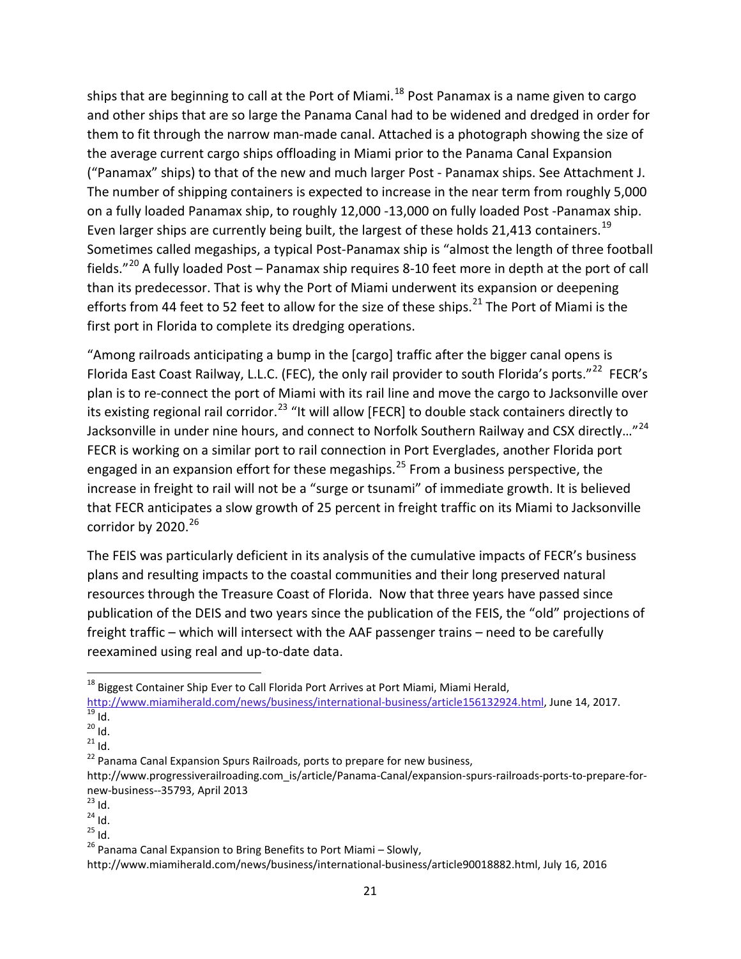ships that are beginning to call at the Port of Miami.<sup>[18](#page-20-0)</sup> Post Panamax is a name given to cargo and other ships that are so large the Panama Canal had to be widened and dredged in order for them to fit through the narrow man-made canal. Attached is a photograph showing the size of the average current cargo ships offloading in Miami prior to the Panama Canal Expansion ("Panamax" ships) to that of the new and much larger Post - Panamax ships. See Attachment J. The number of shipping containers is expected to increase in the near term from roughly 5,000 on a fully loaded Panamax ship, to roughly 12,000 -13,000 on fully loaded Post -Panamax ship. Even larger ships are currently being built, the largest of these holds 21,413 containers.<sup>[19](#page-20-1)</sup> Sometimes called megaships, a typical Post-Panamax ship is "almost the length of three football fields."<sup>[20](#page-20-2)</sup> A fully loaded Post – Panamax ship requires 8-10 feet more in depth at the port of call than its predecessor. That is why the Port of Miami underwent its expansion or deepening efforts from 44 feet to 52 feet to allow for the size of these ships.<sup>[21](#page-20-3)</sup> The Port of Miami is the first port in Florida to complete its dredging operations.

"Among railroads anticipating a bump in the [cargo] traffic after the bigger canal opens is Florida East Coast Railway, L.L.C. (FEC), the only rail provider to south Florida's ports."<sup>[22](#page-20-4)</sup> FECR's plan is to re-connect the port of Miami with its rail line and move the cargo to Jacksonville over its existing regional rail corridor.<sup>[23](#page-20-5)</sup> "It will allow [FECR] to double stack containers directly to Jacksonville in under nine hours, and connect to Norfolk Southern Railway and CSX directly..."<sup>[24](#page-20-6)</sup> FECR is working on a similar port to rail connection in Port Everglades, another Florida port engaged in an expansion effort for these megaships.<sup>[25](#page-20-7)</sup> From a business perspective, the increase in freight to rail will not be a "surge or tsunami" of immediate growth. It is believed that FECR anticipates a slow growth of 25 percent in freight traffic on its Miami to Jacksonville corridor by 2020. $26$ 

The FEIS was particularly deficient in its analysis of the cumulative impacts of FECR's business plans and resulting impacts to the coastal communities and their long preserved natural resources through the Treasure Coast of Florida. Now that three years have passed since publication of the DEIS and two years since the publication of the FEIS, the "old" projections of freight traffic – which will intersect with the AAF passenger trains – need to be carefully reexamined using real and up-to-date data.

- 
- <span id="page-20-0"></span><sup>18</sup> Biggest Container Ship Ever to Call Florida Port Arrives at Port Miami, Miami Herald,<br>http://www.miamiherald.com/news/business/international-business/article156132924.html. June 14. 2017. http://www.miamiherald.com/news/article156132014.html<br><sup>20</sup> Id. <sup>20</sup><br><sup>21</sup> Id. <sup>22</sup> Panama Canal Expansion Spurs Railroads, ports to prepare for new business,

<span id="page-20-7"></span>

<span id="page-20-2"></span><span id="page-20-1"></span>

<span id="page-20-3"></span>

<span id="page-20-4"></span>http://www.progressiverailroading.com\_is/article/Panama-Canal/expansion-spurs-railroads-ports-to-prepare-fornew-business--35793, April 2013<br>
<sup>23</sup> Id.<br>
<sup>24</sup> Id.<br>
<sup>25</sup> Id. <sup>25</sup> Panama Canal Expansion to Bring Benefits to Port Miami – Slowly,

<span id="page-20-5"></span>

<span id="page-20-6"></span>

<span id="page-20-8"></span>http://www.miamiherald.com/news/business/international-business/article90018882.html, July 16, 2016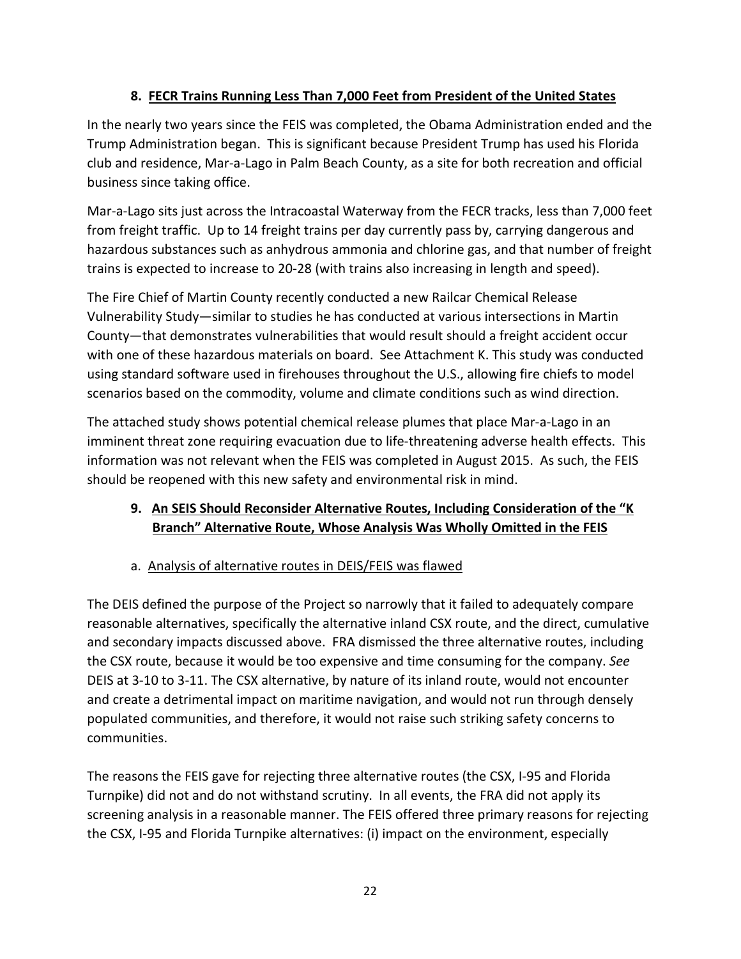### **8. FECR Trains Running Less Than 7,000 Feet from President of the United States**

In the nearly two years since the FEIS was completed, the Obama Administration ended and the Trump Administration began. This is significant because President Trump has used his Florida club and residence, Mar-a-Lago in Palm Beach County, as a site for both recreation and official business since taking office.

Mar-a-Lago sits just across the Intracoastal Waterway from the FECR tracks, less than 7,000 feet from freight traffic. Up to 14 freight trains per day currently pass by, carrying dangerous and hazardous substances such as anhydrous ammonia and chlorine gas, and that number of freight trains is expected to increase to 20-28 (with trains also increasing in length and speed).

The Fire Chief of Martin County recently conducted a new Railcar Chemical Release Vulnerability Study—similar to studies he has conducted at various intersections in Martin County—that demonstrates vulnerabilities that would result should a freight accident occur with one of these hazardous materials on board. See Attachment K. This study was conducted using standard software used in firehouses throughout the U.S., allowing fire chiefs to model scenarios based on the commodity, volume and climate conditions such as wind direction.

The attached study shows potential chemical release plumes that place Mar-a-Lago in an imminent threat zone requiring evacuation due to life-threatening adverse health effects. This information was not relevant when the FEIS was completed in August 2015. As such, the FEIS should be reopened with this new safety and environmental risk in mind.

### **9. An SEIS Should Reconsider Alternative Routes, Including Consideration of the "K Branch" Alternative Route, Whose Analysis Was Wholly Omitted in the FEIS**

## a. Analysis of alternative routes in DEIS/FEIS was flawed

The DEIS defined the purpose of the Project so narrowly that it failed to adequately compare reasonable alternatives, specifically the alternative inland CSX route, and the direct, cumulative and secondary impacts discussed above. FRA dismissed the three alternative routes, including the CSX route, because it would be too expensive and time consuming for the company. *See*  DEIS at 3-10 to 3-11. The CSX alternative, by nature of its inland route, would not encounter and create a detrimental impact on maritime navigation, and would not run through densely populated communities, and therefore, it would not raise such striking safety concerns to communities.

The reasons the FEIS gave for rejecting three alternative routes (the CSX, I-95 and Florida Turnpike) did not and do not withstand scrutiny. In all events, the FRA did not apply its screening analysis in a reasonable manner. The FEIS offered three primary reasons for rejecting the CSX, I-95 and Florida Turnpike alternatives: (i) impact on the environment, especially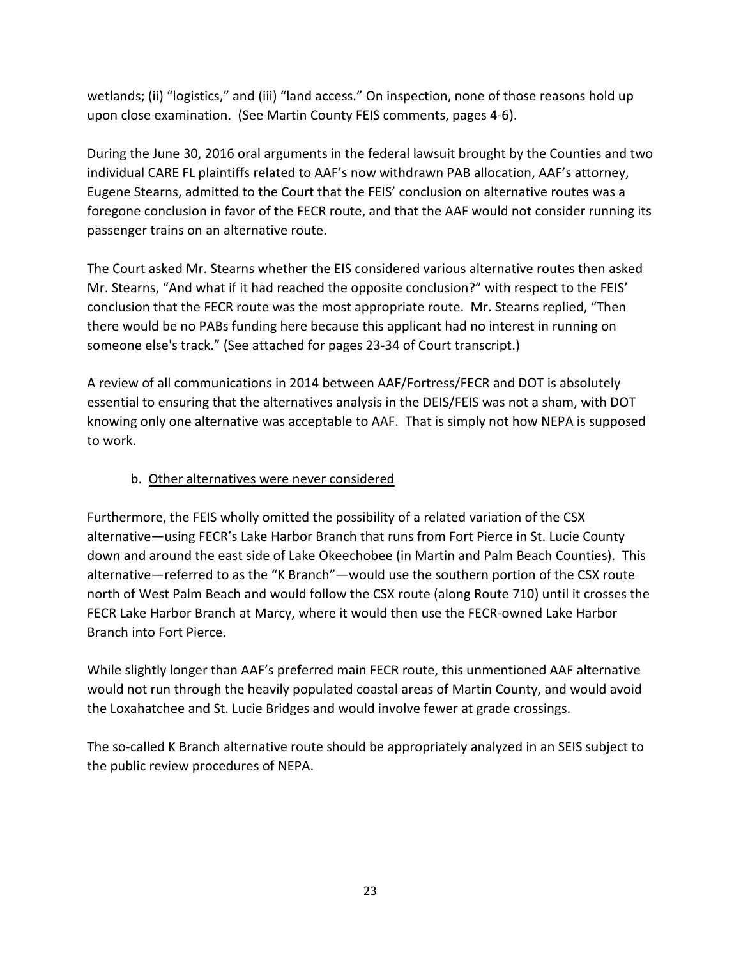wetlands; (ii) "logistics," and (iii) "land access." On inspection, none of those reasons hold up upon close examination. (See Martin County FEIS comments, pages 4-6).

During the June 30, 2016 oral arguments in the federal lawsuit brought by the Counties and two individual CARE FL plaintiffs related to AAF's now withdrawn PAB allocation, AAF's attorney, Eugene Stearns, admitted to the Court that the FEIS' conclusion on alternative routes was a foregone conclusion in favor of the FECR route, and that the AAF would not consider running its passenger trains on an alternative route.

The Court asked Mr. Stearns whether the EIS considered various alternative routes then asked Mr. Stearns, "And what if it had reached the opposite conclusion?" with respect to the FEIS' conclusion that the FECR route was the most appropriate route. Mr. Stearns replied, "Then there would be no PABs funding here because this applicant had no interest in running on someone else's track." (See attached for pages 23-34 of Court transcript.)

A review of all communications in 2014 between AAF/Fortress/FECR and DOT is absolutely essential to ensuring that the alternatives analysis in the DEIS/FEIS was not a sham, with DOT knowing only one alternative was acceptable to AAF. That is simply not how NEPA is supposed to work.

### b. Other alternatives were never considered

Furthermore, the FEIS wholly omitted the possibility of a related variation of the CSX alternative—using FECR's Lake Harbor Branch that runs from Fort Pierce in St. Lucie County down and around the east side of Lake Okeechobee (in Martin and Palm Beach Counties). This alternative—referred to as the "K Branch"—would use the southern portion of the CSX route north of West Palm Beach and would follow the CSX route (along Route 710) until it crosses the FECR Lake Harbor Branch at Marcy, where it would then use the FECR-owned Lake Harbor Branch into Fort Pierce.

While slightly longer than AAF's preferred main FECR route, this unmentioned AAF alternative would not run through the heavily populated coastal areas of Martin County, and would avoid the Loxahatchee and St. Lucie Bridges and would involve fewer at grade crossings.

The so-called K Branch alternative route should be appropriately analyzed in an SEIS subject to the public review procedures of NEPA.